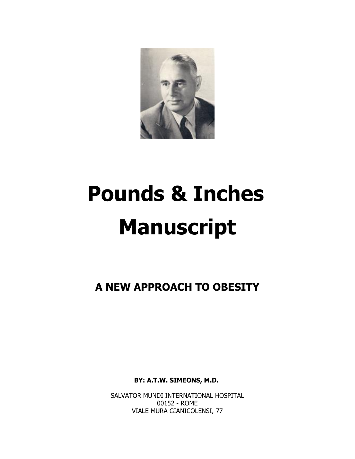

# **Pounds & Inches Manuscript**

**A NEW APPROACH TO OBESITY**

**BY: A.T.W. SIMEONS, M.D.**

SALVATOR MUNDI INTERNATIONAL HOSPITAL 00152 - ROME VIALE MURA GIANICOLENSI, 77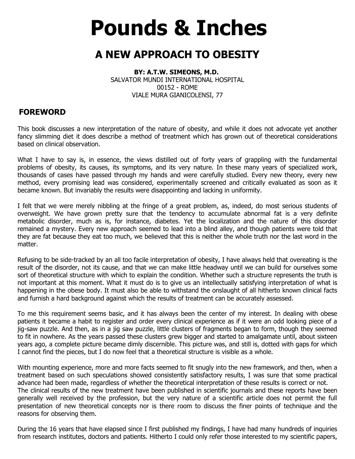# **Pounds & Inches**

# **A NEW APPROACH TO OBESITY**

**BY: A.T.W. SIMEONS, M.D.** SALVATOR MUNDI INTERNATIONAL HOSPITAL 00152 - ROME VIALE MURA GIANICOLENSI, 77

## **FOREWORD**

This book discusses a new interpretation of the nature of obesity, and while it does not advocate yet another fancy slimming diet it does describe a method of treatment which has grown out of theoretical considerations based on clinical observation.

What I have to say is, in essence, the views distilled out of forty years of grappling with the fundamental problems of obesity, its causes, its symptoms, and its very nature. In these many years of specialized work, thousands of cases have passed through my hands and were carefully studied. Every new theory, every new method, every promising lead was considered, experimentally screened and critically evaluated as soon as it became known. But invariably the results were disappointing and lacking in uniformity.

I felt that we were merely nibbling at the fringe of a great problem, as, indeed, do most serious students of overweight. We have grown pretty sure that the tendency to accumulate abnormal fat is a very definite metabolic disorder, much as is, for instance, diabetes. Yet the localization and the nature of this disorder remained a mystery. Every new approach seemed to lead into a blind alley, and though patients were told that they are fat because they eat too much, we believed that this is neither the whole truth nor the last word in the matter.

Refusing to be side-tracked by an all too facile interpretation of obesity, I have always held that overeating is the result of the disorder, not its cause, and that we can make little headway until we can build for ourselves some sort of theoretical structure with which to explain the condition. Whether such a structure represents the truth is not important at this moment. What it must do is to give us an intellectually satisfying interpretation of what is happening in the obese body. It must also be able to withstand the onslaught of all hitherto known clinical facts and furnish a hard background against which the results of treatment can be accurately assessed.

To me this requirement seems basic, and it has always been the center of my interest. In dealing with obese patients it became a habit to register and order every clinical experience as if it were an odd looking piece of a jig-saw puzzle. And then, as in a jig saw puzzle, little clusters of fragments began to form, though they seemed to fit in nowhere. As the years passed these clusters grew bigger and started to amalgamate until, about sixteen years ago, a complete picture became dimly discernible. This picture was, and still is, dotted with gaps for which I cannot find the pieces, but I do now feel that a theoretical structure is visible as a whole.

With mounting experience, more and more facts seemed to fit snugly into the new framework, and then, when a treatment based on such speculations showed consistently satisfactory results, I was sure that some practical advance had been made, regardless of whether the theoretical interpretation of these results is correct or not. The clinical results of the new treatment have been published in scientific journals and these reports have been generally well received by the profession, but the very nature of a scientific article does not permit the full presentation of new theoretical concepts nor is there room to discuss the finer points of technique and the reasons for observing them.

During the 16 years that have elapsed since I first published my findings, I have had many hundreds of inquiries from research institutes, doctors and patients. Hitherto I could only refer those interested to my scientific papers,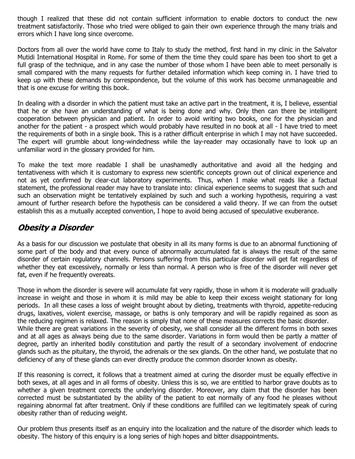though I realized that these did not contain sufficient information to enable doctors to conduct the new treatment satisfactorily. Those who tried were obliged to gain their own experience through the many trials and errors which I have long since overcome.

Doctors from all over the world have come to Italy to study the method, first hand in my clinic in the Salvator Mutidi International Hospital in Rome. For some of them the time they could spare has been too short to get a full grasp of the technique, and in any case the number of those whom I have been able to meet personally is small compared with the many requests for further detailed information which keep coming in. I have tried to keep up with these demands by correspondence, but the volume of this work has become unmanageable and that is one excuse for writing this book.

In dealing with a disorder in which the patient must take an active part in the treatment, it is, I believe, essential that he or she have an understanding of what is being done and why. Only then can there be intelligent cooperation between physician and patient. In order to avoid writing two books, one for the physician and another for the patient - a prospect which would probably have resulted in no book at all - I have tried to meet the requirements of both in a single book. This is a rather difficult enterprise in which I may not have succeeded. The expert will grumble about long-windedness while the lay-reader may occasionally have to look up an unfamiliar word in the glossary provided for him.

To make the text more readable I shall be unashamedly authoritative and avoid all the hedging and tentativeness with which it is customary to express new scientific concepts grown out of clinical experience and not as yet confirmed by clear-cut laboratory experiments. Thus, when I make what reads like a factual statement, the professional reader may have to translate into: clinical experience seems to suggest that such and such an observation might be tentatively explained by such and such a working hypothesis, requiring a vast amount of further research before the hypothesis can be considered a valid theory. If we can from the outset establish this as a mutually accepted convention, I hope to avoid being accused of speculative exuberance.

# **Obesity a Disorder**

As a basis for our discussion we postulate that obesity in all its many forms is due to an abnormal functioning of some part of the body and that every ounce of abnormally accumulated fat is always the result of the same disorder of certain regulatory channels. Persons suffering from this particular disorder will get fat regardless of whether they eat excessively, normally or less than normal. A person who is free of the disorder will never get fat, even if he frequently overeats.

Those in whom the disorder is severe will accumulate fat very rapidly, those in whom it is moderate will gradually increase in weight and those in whom it is mild may be able to keep their excess weight stationary for long periods. In all these cases a loss of weight brought about by dieting, treatments with thyroid, appetite-reducing drugs, laxatives, violent exercise, massage, or baths is only temporary and will be rapidly regained as soon as the reducing regimen is relaxed. The reason is simply that none of these measures corrects the basic disorder. While there are great variations in the severity of obesity, we shall consider all the different forms in both sexes and at all ages as always being due to the same disorder. Variations in form would then be partly a matter of degree, partly an inherited bodily constitution and partly the result of a secondary involvement of endocrine glands such as the pituitary, the thyroid, the adrenals or the sex glands. On the other hand, we postulate that no deficiency of any of these glands can ever directly produce the common disorder known as obesity.

If this reasoning is correct, it follows that a treatment aimed at curing the disorder must be equally effective in both sexes, at all ages and in all forms of obesity. Unless this is so, we are entitled to harbor grave doubts as to whether a given treatment corrects the underlying disorder. Moreover, any claim that the disorder has been corrected must be substantiated by the ability of the patient to eat normally of any food he pleases without regaining abnormal fat after treatment. Only if these conditions are fulfilled can we legitimately speak of curing obesity rather than of reducing weight.

Our problem thus presents itself as an enquiry into the localization and the nature of the disorder which leads to obesity. The history of this enquiry is a long series of high hopes and bitter disappointments.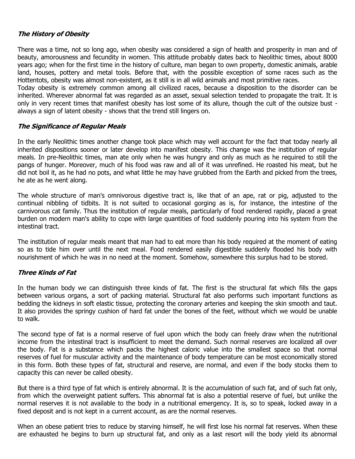#### **The History of Obesity**

There was a time, not so long ago, when obesity was considered a sign of health and prosperity in man and of beauty, amorousness and fecundity in women. This attitude probably dates back to Neolithic times, about 8000 years ago; when for the first time in the history of culture, man began to own property, domestic animals, arable land, houses, pottery and metal tools. Before that, with the possible exception of some races such as the Hottentots, obesity was almost non-existent, as it still is in all wild animals and most primitive races.

Today obesity is extremely common among all civilized races, because a disposition to the disorder can be inherited. Wherever abnormal fat was regarded as an asset, sexual selection tended to propagate the trait. It is only in very recent times that manifest obesity has lost some of its allure, though the cult of the outsize bust always a sign of latent obesity - shows that the trend still lingers on.

#### **The Significance of Regular Meals**

In the early Neolithic times another change took place which may well account for the fact that today nearly all inherited dispositions sooner or later develop into manifest obesity. This change was the institution of regular meals. In pre-Neolithic times, man ate only when he was hungry and only as much as he required to still the pangs of hunger. Moreover, much of his food was raw and all of it was unrefined. He roasted his meat, but he did not boil it, as he had no pots, and what little he may have grubbed from the Earth and picked from the trees, he ate as he went along.

The whole structure of man's omnivorous digestive tract is, like that of an ape, rat or pig, adjusted to the continual nibbling of tidbits. It is not suited to occasional gorging as is, for instance, the intestine of the carnivorous cat family. Thus the institution of regular meals, particularly of food rendered rapidly, placed a great burden on modern man's ability to cope with large quantities of food suddenly pouring into his system from the intestinal tract.

The institution of regular meals meant that man had to eat more than his body required at the moment of eating so as to tide him over until the next meal. Food rendered easily digestible suddenly flooded his body with nourishment of which he was in no need at the moment. Somehow, somewhere this surplus had to be stored.

#### **Three Kinds of Fat**

In the human body we can distinguish three kinds of fat. The first is the structural fat which fills the gaps between various organs, a sort of packing material. Structural fat also performs such important functions as bedding the kidneys in soft elastic tissue, protecting the coronary arteries and keeping the skin smooth and taut. It also provides the springy cushion of hard fat under the bones of the feet, without which we would be unable to walk.

The second type of fat is a normal reserve of fuel upon which the body can freely draw when the nutritional income from the intestinal tract is insufficient to meet the demand. Such normal reserves are localized all over the body. Fat is a substance which packs the highest caloric value into the smallest space so that normal reserves of fuel for muscular activity and the maintenance of body temperature can be most economically stored in this form. Both these types of fat, structural and reserve, are normal, and even if the body stocks them to capacity this can never be called obesity.

But there is a third type of fat which is entirely abnormal. It is the accumulation of such fat, and of such fat only, from which the overweight patient suffers. This abnormal fat is also a potential reserve of fuel, but unlike the normal reserves it is not available to the body in a nutritional emergency. It is, so to speak, locked away in a fixed deposit and is not kept in a current account, as are the normal reserves.

When an obese patient tries to reduce by starving himself, he will first lose his normal fat reserves. When these are exhausted he begins to burn up structural fat, and only as a last resort will the body yield its abnormal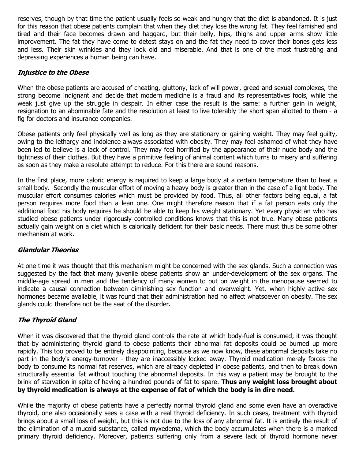reserves, though by that time the patient usually feels so weak and hungry that the diet is abandoned. It is just for this reason that obese patients complain that when they diet they lose the wrong fat. They feel famished and tired and their face becomes drawn and haggard, but their belly, hips, thighs and upper arms show little improvement. The fat they have come to detest stays on and the fat they need to cover their bones gets less and less. Their skin wrinkles and they look old and miserable. And that is one of the most frustrating and depressing experiences a human being can have.

#### **Injustice to the Obese**

When the obese patients are accused of cheating, gluttony, lack of will power, greed and sexual complexes, the strong become indignant and decide that modern medicine is a fraud and its representatives fools, while the weak just give up the struggle in despair. In either case the result is the same: a further gain in weight, resignation to an abominable fate and the resolution at least to live tolerably the short span allotted to them - a fig for doctors and insurance companies.

Obese patients only feel physically well as long as they are stationary or gaining weight. They may feel guilty, owing to the lethargy and indolence always associated with obesity. They may feel ashamed of what they have been led to believe is a lack of control. They may feel horrified by the appearance of their nude body and the tightness of their clothes. But they have a primitive feeling of animal content which turns to misery and suffering as soon as they make a resolute attempt to reduce. For this there are sound reasons.

In the first place, more caloric energy is required to keep a large body at a certain temperature than to heat a small body. Secondly the muscular effort of moving a heavy body is greater than in the case of a light body. The muscular effort consumes calories which must be provided by food. Thus, all other factors being equal, a fat person requires more food than a lean one. One might therefore reason that if a fat person eats only the additional food his body requires he should be able to keep his weight stationary. Yet every physician who has studied obese patients under rigorously controlled conditions knows that this is not true. Many obese patients actually gain weight on a diet which is calorically deficient for their basic needs. There must thus be some other mechanism at work.

#### **Glandular Theories**

At one time it was thought that this mechanism might be concerned with the sex glands. Such a connection was suggested by the fact that many juvenile obese patients show an under-development of the sex organs. The middle-age spread in men and the tendency of many women to put on weight in the menopause seemed to indicate a causal connection between diminishing sex function and overweight. Yet, when highly active sex hormones became available, it was found that their administration had no affect whatsoever on obesity. The sex glands could therefore not be the seat of the disorder.

#### **The Thyroid Gland**

When it was discovered that [the thyroid gland](http://www.amazon.com/gp/product/159463002X?ie=UTF8&tag=insipuervall-20&link_code=em1&camp=212341&creative=380429&creativeASIN=159463002X&adid=aa52499c-13aa-4f38-849e-dada0443a3db) controls the rate at which body-fuel is consumed, it was thought that by administering thyroid gland to obese patients their abnormal fat deposits could be burned up more rapidly. This too proved to be entirely disappointing, because as we now know, these abnormal deposits take no part in the body's energy-turnover - they are inaccessibly locked away. Thyroid medication merely forces the body to consume its normal fat reserves, which are already depleted in obese patients, and then to break down structurally essential fat without touching the abnormal deposits. In this way a patient may be brought to the brink of starvation in spite of having a hundred pounds of fat to spare. **Thus any weight loss brought about by thyroid medication is always at the expense of fat of which the body is in dire need.**

While the majority of obese patients have a perfectly normal thyroid gland and some even have an overactive thyroid, one also occasionally sees a case with a real thyroid deficiency. In such cases, treatment with thyroid brings about a small loss of weight, but this is not due to the loss of any abnormal fat. It is entirely the result of the elimination of a mucoid substance, called myxedema, which the body accumulates when there is a marked primary thyroid deficiency. Moreover, patients suffering only from a severe lack of thyroid hormone never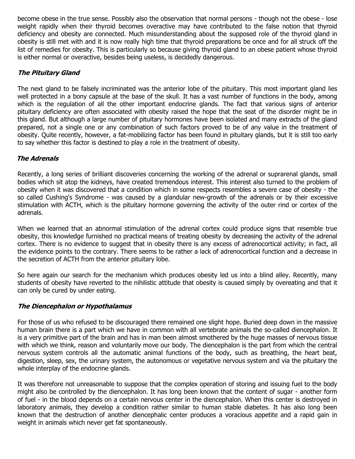become obese in the true sense. Possibly also the observation that normal persons - though not the obese - lose weight rapidly when their thyroid becomes overactive may have contributed to the false notion that thyroid deficiency and obesity are connected. Much misunderstanding about the supposed role of the thyroid gland in obesity is still met with and it is now really high time that thyroid preparations be once and for all struck off the list of remedies for obesity. This is particularly so because giving thyroid gland to an obese patient whose thyroid is either normal or overactive, besides being useless, is decidedly dangerous.

#### **The Pituitary Gland**

The next gland to be falsely incriminated was the anterior lobe of the pituitary. This most important gland lies well protected in a bony capsule at the base of the skull. It has a vast number of functions in the body, among which is the regulation of all the other important endocrine glands. The fact that various signs of anterior pituitary deficiency are often associated with obesity raised the hope that the seat of the disorder might be in this gland. But although a large number of pituitary hormones have been isolated and many extracts of the gland prepared, not a single one or any combination of such factors proved to be of any value in the treatment of obesity. Quite recently, however, a fat-mobilizing factor has been found in pituitary glands, but it is still too early to say whether this factor is destined to play a role in the treatment of obesity.

#### **The Adrenals**

Recently, a long series of brilliant discoveries concerning the working of the adrenal or suprarenal glands, small bodies which sit atop the kidneys, have created tremendous interest. This interest also turned to the problem of obesity when it was discovered that a condition which in some respects resembles a severe case of obesity - the so called Cushing's Syndrome - was caused by a glandular new-growth of the adrenals or by their excessive stimulation with ACTH, which is the pituitary hormone governing the activity of the outer rind or cortex of the adrenals.

When we learned that an abnormal stimulation of the adrenal cortex could produce signs that resemble true obesity, this knowledge furnished no practical means of treating obesity by decreasing the activity of the adrenal cortex. There is no evidence to suggest that in obesity there is any excess of adrenocortical activity; in fact, all the evidence points to the contrary. There seems to be rather a lack of adrenocortical function and a decrease in the secretion of ACTH from the anterior pituitary lobe.

So here again our search for the mechanism which produces obesity led us into a blind alley. Recently, many students of obesity have reverted to the nihilistic attitude that obesity is caused simply by overeating and that it can only be cured by under eating.

#### **The Diencephalon or Hypothalamus**

For those of us who refused to be discouraged there remained one slight hope. Buried deep down in the massive human brain there is a part which we have in common with all vertebrate animals the so-called diencephalon. It is a very primitive part of the brain and has in man been almost smothered by the huge masses of nervous tissue with which we think, reason and voluntarily move our body. The diencephalon is the part from which the central nervous system controls all the automatic animal functions of the body, such as breathing, the heart beat, digestion, sleep, sex, the urinary system, the autonomous or vegetative nervous system and via the pituitary the whole interplay of the endocrine glands.

It was therefore not unreasonable to suppose that the complex operation of storing and issuing fuel to the body might also be controlled by the diencephalon. It has long been known that the content of sugar - another form of fuel - in the blood depends on a certain nervous center in the diencephalon. When this center is destroyed in laboratory animals, they develop a condition rather similar to human stable diabetes. It has also long been known that the destruction of another diencephalic center produces a voracious appetite and a rapid gain in weight in animals which never get fat spontaneously.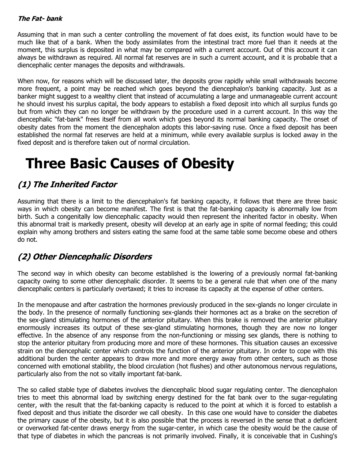#### **The Fat- bank**

Assuming that in man such a center controlling the movement of fat does exist, its function would have to be much like that of a bank. When the body assimilates from the intestinal tract more fuel than it needs at the moment, this surplus is deposited in what may be compared with a current account. Out of this account it can always be withdrawn as required. All normal fat reserves are in such a current account, and it is probable that a diencephalic center manages the deposits and withdrawals.

When now, for reasons which will be discussed later, the deposits grow rapidly while small withdrawals become more frequent, a point may be reached which goes beyond the diencephalon's banking capacity. Just as a banker might suggest to a wealthy client that instead of accumulating a large and unmanageable current account he should invest his surplus capital, the body appears to establish a fixed deposit into which all surplus funds go but from which they can no longer be withdrawn by the procedure used in a current account. In this way the diencephalic "fat-bank" frees itself from all work which goes beyond its normal banking capacity. The onset of obesity dates from the moment the diencephalon adopts this labor-saving ruse. Once a fixed deposit has been established the normal fat reserves are held at a minimum, while every available surplus is locked away in the fixed deposit and is therefore taken out of normal circulation.

# **Three Basic Causes of Obesity**

# **(1) The Inherited Factor**

Assuming that there is a limit to the diencephalon's fat banking capacity, it follows that there are three basic ways in which obesity can become manifest. The first is that the fat-banking capacity is abnormally low from birth. Such a congenitally low diencephalic capacity would then represent the inherited factor in obesity. When this abnormal trait is markedly present, obesity will develop at an early age in spite of normal feeding; this could explain why among brothers and sisters eating the same food at the same table some become obese and others do not.

# **(2) Other Diencephalic Disorders**

The second way in which obesity can become established is the lowering of a previously normal fat-banking capacity owing to some other diencephalic disorder. It seems to be a general rule that when one of the many diencephalic centers is particularly overtaxed; it tries to increase its capacity at the expense of other centers.

In the menopause and after castration the hormones previously produced in the sex-glands no longer circulate in the body. In the presence of normally functioning sex-glands their hormones act as a brake on the secretion of the sex-gland stimulating hormones of the anterior pituitary. When this brake is removed the anterior pituitary enormously increases its output of these sex-gland stimulating hormones, though they are now no longer effective. In the absence of any response from the non-functioning or missing sex glands, there is nothing to stop the anterior pituitary from producing more and more of these hormones. This situation causes an excessive strain on the diencephalic center which controls the function of the anterior pituitary. In order to cope with this additional burden the center appears to draw more and more energy away from other centers, such as those concerned with emotional stability, the blood circulation (hot flushes) and other autonomous nervous regulations, particularly also from the not so vitally important fat-bank.

The so called stable type of diabetes involves the diencephalic blood sugar regulating center. The diencephalon tries to meet this abnormal load by switching energy destined for the fat bank over to the sugar-regulating center, with the result that the fat-banking capacity is reduced to the point at which it is forced to establish a fixed deposit and thus initiate the disorder we call obesity. In this case one would have to consider the diabetes the primary cause of the obesity, but it is also possible that the process is reversed in the sense that a deficient or overworked fat-center draws energy from the sugar-center, in which case the obesity would be the cause of that type of diabetes in which the pancreas is not primarily involved. Finally, it is conceivable that in Cushing's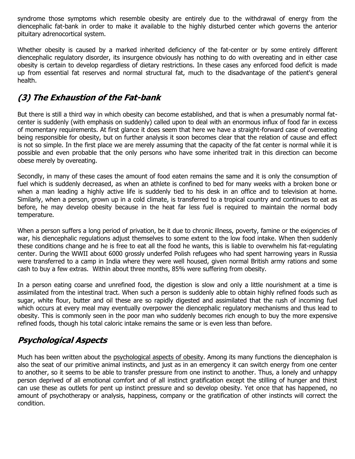syndrome those symptoms which resemble obesity are entirely due to the withdrawal of energy from the diencephalic fat-bank in order to make it available to the highly disturbed center which governs the anterior pituitary adrenocortical system.

Whether obesity is caused by a marked inherited deficiency of the fat-center or by some entirely different diencephalic regulatory disorder, its insurgence obviously has nothing to do with overeating and in either case obesity is certain to develop regardless of dietary restrictions. In these cases any enforced food deficit is made up from essential fat reserves and normal structural fat, much to the disadvantage of the patient's general health.

# **(3) The Exhaustion of the Fat-bank**

But there is still a third way in which obesity can become established, and that is when a presumably normal fatcenter is suddenly (with emphasis on suddenly) called upon to deal with an enormous influx of food far in excess of momentary requirements. At first glance it does seem that here we have a straight-forward case of overeating being responsible for obesity, but on further analysis it soon becomes clear that the relation of cause and effect is not so simple. In the first place we are merely assuming that the capacity of the fat center is normal while it is possible and even probable that the only persons who have some inherited trait in this direction can become obese merely by overeating.

Secondly, in many of these cases the amount of food eaten remains the same and it is only the consumption of fuel which is suddenly decreased, as when an athlete is confined to bed for many weeks with a broken bone or when a man leading a highly active life is suddenly tied to his desk in an office and to television at home. Similarly, when a person, grown up in a cold climate, is transferred to a tropical country and continues to eat as before, he may develop obesity because in the heat far less fuel is required to maintain the normal body temperature.

When a person suffers a long period of privation, be it due to chronic illness, poverty, famine or the exigencies of war, his diencephalic regulations adjust themselves to some extent to the low food intake. When then suddenly these conditions change and he is free to eat all the food he wants, this is liable to overwhelm his fat-regulating center. During the WWII about 6000 grossly underfed Polish refugees who had spent harrowing years in Russia were transferred to a camp in India where they were well housed, given normal British army rations and some cash to buy a few extras. Within about three months, 85% were suffering from obesity.

In a person eating coarse and unrefined food, the digestion is slow and only a little nourishment at a time is assimilated from the intestinal tract. When such a person is suddenly able to obtain highly refined foods such as sugar, white flour, butter and oil these are so rapidly digested and assimilated that the rush of incoming fuel which occurs at every meal may eventually overpower the diencephalic regulatory mechanisms and thus lead to obesity. This is commonly seen in the poor man who suddenly becomes rich enough to buy the more expensive refined foods, though his total caloric intake remains the same or is even less than before.

# **Psychological Aspects**

Much has been written about the [psychological aspects of obesity.](http://www.amazon.com/gp/product/0442226098?ie=UTF8&tag=insipuervall-20&link_code=em1&camp=212341&creative=380429&creativeASIN=0442226098&adid=19252505-d1e9-4033-9ae8-f57473d75319) Among its many functions the diencephalon is also the seat of our primitive animal instincts, and just as in an emergency it can switch energy from one center to another, so it seems to be able to transfer pressure from one instinct to another. Thus, a lonely and unhappy person deprived of all emotional comfort and of all instinct gratification except the stilling of hunger and thirst can use these as outlets for pent up instinct pressure and so develop obesity. Yet once that has happened, no amount of psychotherapy or analysis, happiness, company or the gratification of other instincts will correct the condition.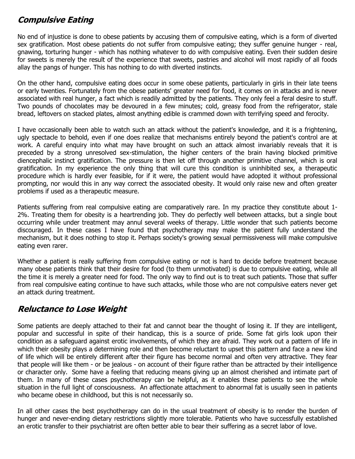# **Compulsive Eating**

No end of injustice is done to obese patients by accusing them of compulsive eating, which is a form of diverted sex gratification. Most obese patients do not suffer from compulsive eating; they suffer genuine hunger - real, gnawing, torturing hunger - which has nothing whatever to do with compulsive eating. Even their sudden desire for sweets is merely the result of the experience that sweets, pastries and alcohol will most rapidly of all foods allay the pangs of hunger. This has nothing to do with diverted instincts.

On the other hand, compulsive eating does occur in some obese patients, particularly in girls in their late teens or early twenties. Fortunately from the obese patients' greater need for food, it comes on in attacks and is never associated with real hunger, a fact which is readily admitted by the patients. They only feel a feral desire to stuff. Two pounds of chocolates may be devoured in a few minutes; cold, greasy food from the refrigerator, stale bread, leftovers on stacked plates, almost anything edible is crammed down with terrifying speed and ferocity.

I have occasionally been able to watch such an attack without the patient's knowledge, and it is a frightening, ugly spectacle to behold, even if one does realize that mechanisms entirely beyond the patient's control are at work. A careful enquiry into what may have brought on such an attack almost invariably reveals that it is preceded by a strong unresolved sex-stimulation, the higher centers of the brain having blocked primitive diencephalic instinct gratification. The pressure is then let off through another primitive channel, which is oral gratification. In my experience the only thing that will cure this condition is uninhibited sex, a therapeutic procedure which is hardly ever feasible, for if it were, the patient would have adopted it without professional prompting, nor would this in any way correct the associated obesity. It would only raise new and often greater problems if used as a therapeutic measure.

Patients suffering from real compulsive eating are comparatively rare. In my practice they constitute about 1- 2%. Treating them for obesity is a heartrending job. They do perfectly well between attacks, but a single bout occurring while under treatment may annul several weeks of therapy. Little wonder that such patients become discouraged. In these cases I have found that psychotherapy may make the patient fully understand the mechanism, but it does nothing to stop it. Perhaps society's growing sexual permissiveness will make compulsive eating even rarer.

Whether a patient is really suffering from compulsive eating or not is hard to decide before treatment because many obese patients think that their desire for food (to them unmotivated) is due to compulsive eating, while all the time it is merely a greater need for food. The only way to find out is to treat such patients. Those that suffer from real compulsive eating continue to have such attacks, while those who are not compulsive eaters never get an attack during treatment.

# **Reluctance to Lose Weight**

Some patients are deeply attached to their fat and cannot bear the thought of losing it. If they are intelligent, popular and successful in spite of their handicap, this is a source of pride. Some fat girls look upon their condition as a safeguard against erotic involvements, of which they are afraid. They work out a pattern of life in which their obesity plays a determining role and then become reluctant to upset this pattern and face a new kind of life which will be entirely different after their figure has become normal and often very attractive. They fear that people will like them - or be jealous - on account of their figure rather than be attracted by their intelligence or character only. Some have a feeling that reducing means giving up an almost cherished and intimate part of them. In many of these cases psychotherapy can be helpful, as it enables these patients to see the whole situation in the full light of consciousness. An affectionate attachment to abnormal fat is usually seen in patients who became obese in childhood, but this is not necessarily so.

In all other cases the best psychotherapy can do in the usual treatment of obesity is to render the burden of hunger and never-ending dietary restrictions slightly more tolerable. Patients who have successfully established an erotic transfer to their psychiatrist are often better able to bear their suffering as a secret labor of love.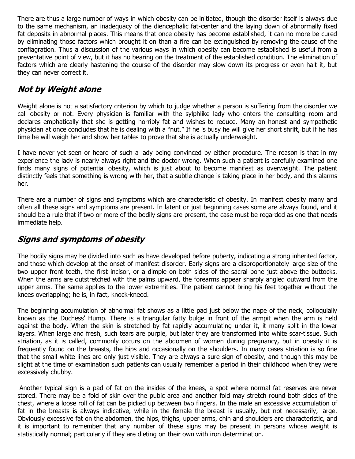There are thus a large number of ways in which obesity can be initiated, though the disorder itself is always due to the same mechanism, an inadequacy of the diencephalic fat-center and the laying down of abnormally fixed fat deposits in abnormal places. This means that once obesity has become established, it can no more be cured by eliminating those factors which brought it on than a fire can be extinguished by removing the cause of the conflagration. Thus a discussion of the various ways in which obesity can become established is useful from a preventative point of view, but it has no bearing on the treatment of the established condition. The elimination of factors which are clearly hastening the course of the disorder may slow down its progress or even halt it, but they can never correct it.

# **Not by Weight alone**

Weight alone is not a satisfactory criterion by which to judge whether a person is suffering from the disorder we call obesity or not. Every physician is familiar with the sylphlike lady who enters the consulting room and declares emphatically that she is getting horribly fat and wishes to reduce. Many an honest and sympathetic physician at once concludes that he is dealing with a "nut." If he is busy he will give her short shrift, but if he has time he will weigh her and show her tables to prove that she is actually underweight.

I have never yet seen or heard of such a lady being convinced by either procedure. The reason is that in my experience the lady is nearly always right and the doctor wrong. When such a patient is carefully examined one finds many signs of potential obesity, which is just about to become manifest as overweight. The patient distinctly feels that something is wrong with her, that a subtle change is taking place in her body, and this alarms her.

There are a number of signs and symptoms which are characteristic of obesity. In manifest obesity many and often all these signs and symptoms are present. In latent or just beginning cases some are always found, and it should be a rule that if two or more of the bodily signs are present, the case must be regarded as one that needs immediate help.

# **Signs and symptoms of obesity**

The bodily signs may be divided into such as have developed before puberty, indicating a strong inherited factor, and those which develop at the onset of manifest disorder. Early signs are a disproportionately large size of the two upper front teeth, the first incisor, or a dimple on both sides of the sacral bone just above the buttocks. When the arms are outstretched with the palms upward, the forearms appear sharply angled outward from the upper arms. The same applies to the lower extremities. The patient cannot bring his feet together without the knees overlapping; he is, in fact, knock-kneed.

The beginning accumulation of abnormal fat shows as a little pad just below the nape of the neck, colloquially known as the Duchess' Hump. There is a triangular fatty bulge in front of the armpit when the arm is held against the body. When the skin is stretched by fat rapidly accumulating under it, it many split in the lower layers. When large and fresh, such tears are purple, but later they are transformed into white scar-tissue. Such striation, as it is called, commonly occurs on the abdomen of women during pregnancy, but in obesity it is frequently found on the breasts, the hips and occasionally on the shoulders. In many cases striation is so fine that the small white lines are only just visible. They are always a sure sign of obesity, and though this may be slight at the time of examination such patients can usually remember a period in their childhood when they were excessively chubby.

Another typical sign is a pad of fat on the insides of the knees, a spot where normal fat reserves are never stored. There may be a fold of skin over the pubic area and another fold may stretch round both sides of the chest, where a loose roll of fat can be picked up between two fingers. In the male an excessive accumulation of fat in the breasts is always indicative, while in the female the breast is usually, but not necessarily, large. Obviously excessive fat on the abdomen, the hips, thighs, upper arms, chin and shoulders are characteristic, and it is important to remember that any number of these signs may be present in persons whose weight is statistically normal; particularly if they are dieting on their own with iron determination.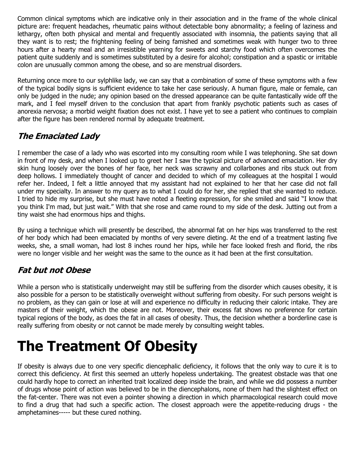Common clinical symptoms which are indicative only in their association and in the frame of the whole clinical picture are: frequent headaches, rheumatic pains without detectable bony abnormality; a feeling of laziness and lethargy, often both physical and mental and frequently associated with insomnia, the patients saying that all they want is to rest; the frightening feeling of being famished and sometimes weak with hunger two to three hours after a hearty meal and an irresistible yearning for sweets and starchy food which often overcomes the patient quite suddenly and is sometimes substituted by a desire for alcohol; constipation and a spastic or irritable colon are unusually common among the obese, and so are menstrual disorders.

Returning once more to our sylphlike lady, we can say that a combination of some of these symptoms with a few of the typical bodily signs is sufficient evidence to take her case seriously. A human figure, male or female, can only be judged in the nude; any opinion based on the dressed appearance can be quite fantastically wide off the mark, and I feel myself driven to the conclusion that apart from frankly psychotic patients such as cases of anorexia nervosa; a morbid weight fixation does not exist. I have yet to see a patient who continues to complain after the figure has been rendered normal by adequate treatment.

# **The Emaciated Lady**

I remember the case of a lady who was escorted into my consulting room while I was telephoning. She sat down in front of my desk, and when I looked up to greet her I saw the typical picture of advanced emaciation. Her dry skin hung loosely over the bones of her face, her neck was scrawny and collarbones and ribs stuck out from deep hollows. I immediately thought of cancer and decided to which of my colleagues at the hospital I would refer her. Indeed, I felt a little annoyed that my assistant had not explained to her that her case did not fall under my specialty. In answer to my query as to what I could do for her, she replied that she wanted to reduce. I tried to hide my surprise, but she must have noted a fleeting expression, for she smiled and said "I know that you think I'm mad, but just wait." With that she rose and came round to my side of the desk. Jutting out from a tiny waist she had enormous hips and thighs.

By using a technique which will presently be described, the abnormal fat on her hips was transferred to the rest of her body which had been emaciated by months of very severe dieting. At the end of a treatment lasting five weeks, she, a small woman, had lost 8 inches round her hips, while her face looked fresh and florid, the ribs were no longer visible and her weight was the same to the ounce as it had been at the first consultation.

# **Fat but not Obese**

While a person who is statistically underweight may still be suffering from the disorder which causes obesity, it is also possible for a person to be statistically overweight without suffering from obesity. For such persons weight is no problem, as they can gain or lose at will and experience no difficulty in reducing their caloric intake. They are masters of their weight, which the obese are not. Moreover, their excess fat shows no preference for certain typical regions of the body, as does the fat in all cases of obesity. Thus, the decision whether a borderline case is really suffering from obesity or not cannot be made merely by consulting weight tables.

# **The Treatment Of Obesity**

If obesity is always due to one very specific diencephalic deficiency, it follows that the only way to cure it is to correct this deficiency. At first this seemed an utterly hopeless undertaking. The greatest obstacle was that one could hardly hope to correct an inherited trait localized deep inside the brain, and while we did possess a number of drugs whose point of action was believed to be in the diencephalons, none of them had the slightest effect on the fat-center. There was not even a pointer showing a direction in which pharmacological research could move to find a drug that had such a specific action. The closest approach were the appetite-reducing drugs - the amphetamines----- but these cured nothing.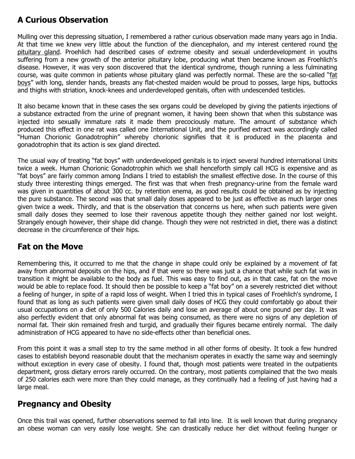# **A Curious Observation**

Mulling over this depressing situation, I remembered a rather curious observation made many years ago in India. At that time we knew very little about the function of the diencephalon, and my interest centered round [the](http://www.amazon.com/gp/product/1588290530?ie=UTF8&tag=insipuervall-20&link_code=em1&camp=212341&creative=380429&creativeASIN=1588290530&adid=9b574e00-e253-4792-a84e-1991e483705a)  [pituitary gland.](http://www.amazon.com/gp/product/1588290530?ie=UTF8&tag=insipuervall-20&link_code=em1&camp=212341&creative=380429&creativeASIN=1588290530&adid=9b574e00-e253-4792-a84e-1991e483705a) Proehlich had described cases of extreme obesity and sexual underdevelopment in youths suffering from a new growth of the anterior pituitary lobe, producing what then became known as Froehlich's disease. However, it was very soon discovered that the identical syndrome, though running a less fulminating course, was quite common in patients whose pituitary gland was perfectly normal. These are the so-called "[fat](http://www.amazon.com/gp/product/B0000033YH?ie=UTF8&tag=insipuervall-20&link_code=em1&camp=212341&creative=380429&creativeASIN=B0000033YH&adid=73bb42c1-1ba2-40e5-a7ac-8739b6e73d63)  [boys](http://www.amazon.com/gp/product/B0000033YH?ie=UTF8&tag=insipuervall-20&link_code=em1&camp=212341&creative=380429&creativeASIN=B0000033YH&adid=73bb42c1-1ba2-40e5-a7ac-8739b6e73d63)" with long, slender hands, breasts any flat-chested maiden would be proud to posses, large hips, buttocks and thighs with striation, knock-knees and underdeveloped genitals, often with undescended testicles.

It also became known that in these cases the sex organs could be developed by giving the patients injections of a substance extracted from the urine of pregnant women, it having been shown that when this substance was injected into sexually immature rats it made them precociously mature. The amount of substance which produced this effect in one rat was called one International Unit, and the purified extract was accordingly called "Human Chorionic Gonadotrophin" whereby chorionic signifies that it is produced in the placenta and gonadotrophin that its action is sex gland directed.

The usual way of treating "fat boys" with underdeveloped genitals is to inject several hundred international Units twice a week. Human Chorionic Gonadotrophin which we shall henceforth simply call HCG is expensive and as "fat boys" are fairly common among Indians I tried to establish the smallest effective dose. In the course of this study three interesting things emerged. The first was that when fresh pregnancy-urine from the female ward was given in quantities of about 300 cc. by retention enema, as good results could be obtained as by injecting the pure substance. The second was that small daily doses appeared to be just as effective as much larger ones given twice a week. Thirdly, and that is the observation that concerns us here, when such patients were given small daily doses they seemed to lose their ravenous appetite though they neither gained nor lost weight. Strangely enough however, their shape did change. Though they were not restricted in diet, there was a distinct decrease in the circumference of their hips.

# **Fat on the Move**

Remembering this, it occurred to me that the change in shape could only be explained by a movement of fat away from abnormal deposits on the hips, and if that were so there was just a chance that while such fat was in transition it might be available to the body as fuel. This was easy to find out, as in that case, fat on the move would be able to replace food. It should then be possible to keep a "fat boy" on a severely restricted diet without a feeling of hunger, in spite of a rapid loss of weight. When I tried this in typical cases of Froehlich's syndrome, I found that as long as such patients were given small daily doses of HCG they could comfortably go about their usual occupations on a diet of only 500 Calories daily and lose an average of about one pound per day. It was also perfectly evident that only abnormal fat was being consumed, as there were no signs of any depletion of normal fat. Their skin remained fresh and turgid, and gradually their figures became entirely normal. The daily administration of HCG appeared to have no side-effects other than beneficial ones.

From this point it was a small step to try the same method in all other forms of obesity. It took a few hundred cases to establish beyond reasonable doubt that the mechanism operates in exactly the same way and seemingly without exception in every case of obesity. I found that, though most patients were treated in the outpatients department, gross dietary errors rarely occurred. On the contrary, most patients complained that the two meals of 250 calories each were more than they could manage, as they continually had a feeling of just having had a large meal.

# **Pregnancy and Obesity**

Once this trail was opened, further observations seemed to fall into line. It is well known that during pregnancy an obese woman can very easily lose weight. She can drastically reduce her diet without feeling hunger or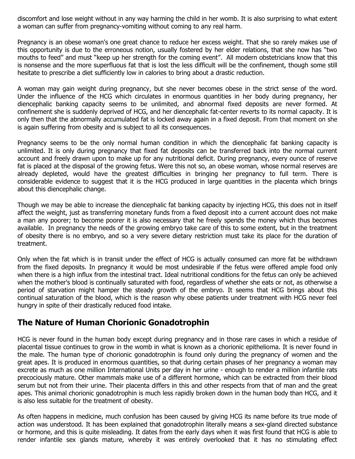discomfort and lose weight without in any way harming the child in her womb. It is also surprising to what extent a woman can suffer from pregnancy-vomiting without coming to any real harm.

Pregnancy is an obese woman's one great chance to reduce her excess weight. That she so rarely makes use of this opportunity is due to the erroneous notion, usually fostered by her elder relations, that she now has "two mouths to feed" and must "keep up her strength for the coming event". All modern obstetricians know that this is nonsense and the more superfluous fat that is lost the less difficult will be the confinement, though some still hesitate to prescribe a diet sufficiently low in calories to bring about a drastic reduction.

A woman may gain weight during pregnancy, but she never becomes obese in the strict sense of the word. Under the influence of the HCG which circulates in enormous quantities in her body during pregnancy, her diencephalic banking capacity seems to be unlimited, and abnormal fixed deposits are never formed. At confinement she is suddenly deprived of HCG, and her diencephalic fat-center reverts to its normal capacity. It is only then that the abnormally accumulated fat is locked away again in a fixed deposit. From that moment on she is again suffering from obesity and is subject to all its consequences.

Pregnancy seems to be the only normal human condition in which the diencephalic fat banking capacity is unlimited. It is only during pregnancy that fixed fat deposits can be transferred back into the normal current account and freely drawn upon to make up for any nutritional deficit. During pregnancy, every ounce of reserve fat is placed at the disposal of the growing fetus. Were this not so, an obese woman, whose normal reserves are already depleted, would have the greatest difficulties in bringing her pregnancy to full term. There is considerable evidence to suggest that it is the HCG produced in large quantities in the placenta which brings about this diencephalic change.

Though we may be able to increase the diencephalic fat banking capacity by injecting HCG, this does not in itself affect the weight, just as transferring monetary funds from a fixed deposit into a current account does not make a man any poorer; to become poorer it is also necessary that he freely spends the money which thus becomes available. In pregnancy the needs of the growing embryo take care of this to some extent, but in the treatment of obesity there is no embryo, and so a very severe dietary restriction must take its place for the duration of treatment.

Only when the fat which is in transit under the effect of HCG is actually consumed can more fat be withdrawn from the fixed deposits. In pregnancy it would be most undesirable if the fetus were offered ample food only when there is a high influx from the intestinal tract. Ideal nutritional conditions for the fetus can only be achieved when the mother's blood is continually saturated with food, regardless of whether she eats or not, as otherwise a period of starvation might hamper the steady growth of the embryo. It seems that HCG brings about this continual saturation of the blood, which is the reason why obese patients under treatment with HCG never feel hungry in spite of their drastically reduced food intake.

# **The Nature of Human Chorionic Gonadotrophin**

HCG is never found in the human body except during pregnancy and in those rare cases in which a residue of placental tissue continues to grow in the womb in what is known as a chorionic epithelioma. It is never found in the male. The human type of chorionic gonadotrophin is found only during the pregnancy of women and the great apes. It is produced in enormous quantities, so that during certain phases of her pregnancy a woman may excrete as much as one million International Units per day in her urine - enough to render a million infantile rats precociously mature. Other mammals make use of a different hormone, which can be extracted from their blood serum but not from their urine. Their placenta differs in this and other respects from that of man and the great apes. This animal chorionic gonadotrophin is much less rapidly broken down in the human body than HCG, and it is also less suitable for the treatment of obesity.

As often happens in medicine, much confusion has been caused by giving HCG its name before its true mode of action was understood. It has been explained that gonadotrophin literally means a sex-gland directed substance or hormone, and this is quite misleading. It dates from the early days when it was first found that HCG is able to render infantile sex glands mature, whereby it was entirely overlooked that it has no stimulating effect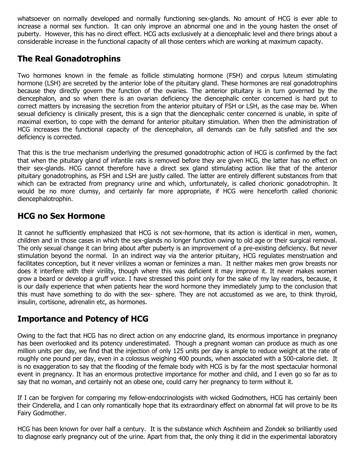whatsoever on normally developed and normally functioning sex-glands. No amount of HCG is ever able to increase a normal sex function. It can only improve an abnormal one and in the young hasten the onset of puberty. However, this has no direct effect. HCG acts exclusively at a diencephalic level and there brings about a considerable increase in the functional capacity of all those centers which are working at maximum capacity.

# **The Real Gonadotrophins**

Two hormones known in the female as follicle stimulating hormone (FSH) and corpus luteum stimulating hormone (LSH) are secreted by the anterior lobe of the pituitary gland. These hormones are real gonadotrophins because they directly govern the function of the ovaries. The anterior pituitary is in turn governed by the diencephalon, and so when there is an ovarian deficiency the diencephalic center concerned is hard put to correct matters by increasing the secretion from the anterior pituitary of FSH or LSH, as the case may be. When sexual deficiency is clinically present, this is a sign that the diencephalic center concerned is unable, in spite of maximal exertion, to cope with the demand for anterior pituitary stimulation. When then the administration of HCG increases the functional capacity of the diencephalon, all demands can be fully satisfied and the sex deficiency is corrected.

That this is the true mechanism underlying the presumed gonadotrophic action of HCG is confirmed by the fact that when the pituitary gland of infantile rats is removed before they are given HCG, the latter has no effect on their sex-glands. HCG cannot therefore have a direct sex gland stimulating action like that of the anterior pituitary gonadotrophins, as FSH and LSH are justly called. The latter are entirely different substances from that which can be extracted from pregnancy urine and which, unfortunately, is called chorionic gonadotrophin. It would be no more clumsy, and certainly far more appropriate, if HCG were henceforth called chorionic diencephalotrophin.

# **HCG no Sex Hormone**

It cannot he sufficiently emphasized that HCG is not sex-hormone, that its action is identical in men, women, children and in those cases in which the sex-glands no longer function owing to old age or their surgical removal. The only sexual change it can bring about after puberty is an improvement of a pre-existing deficiency. But never stimulation beyond the normal. In an indirect way via the anterior pituitary, HCG regulates menstruation and facilitates conception, but it never virilizes a woman or feminizes a man. It neither makes men grow breasts nor does it interfere with their virility, though where this was deficient it may improve it. It never makes women grow a beard or develop a gruff voice. I have stressed this point only for the sake of my lay readers, because, it is our daily experience that when patients hear the word hormone they immediately jump to the conclusion that this must have something to do with the sex- sphere. They are not accustomed as we are, to think thyroid, insulin, cortisone, adrenalin etc, as hormones.

# **Importance and Potency of HCG**

Owing to the fact that HCG has no direct action on any endocrine gland, its enormous importance in pregnancy has been overlooked and its potency underestimated. Though a pregnant woman can produce as much as one million units per day, we find that the injection of only 125 units per day is ample to reduce weight at the rate of roughly one pound per day, even in a colossus weighing 400 pounds, when associated with a 500-calorie diet. It is no exaggeration to say that the flooding of the female body with HCG is by far the most spectacular hormonal event in pregnancy. It has an enormous protective importance for mother and child, and I even go so far as to say that no woman, and certainly not an obese one, could carry her pregnancy to term without it.

If I can be forgiven for comparing my fellow-endocrinologists with wicked Godmothers, HCG has certainly been their Cinderella, and I can only romantically hope that its extraordinary effect on abnormal fat will prove to be its Fairy Godmother.

HCG has been known for over half a century. It is the substance which Aschheim and Zondek so brilliantly used to diagnose early pregnancy out of the urine. Apart from that, the only thing it did in the experimental laboratory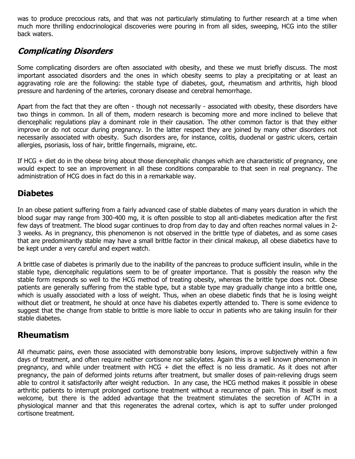was to produce precocious rats, and that was not particularly stimulating to further research at a time when much more thrilling endocrinological discoveries were pouring in from all sides, sweeping, HCG into the stiller back waters.

# **Complicating Disorders**

Some complicating disorders are often associated with obesity, and these we must briefly discuss. The most important associated disorders and the ones in which obesity seems to play a precipitating or at least an aggravating role are the following: the stable type of diabetes, gout, rheumatism and arthritis, high blood pressure and hardening of the arteries, coronary disease and cerebral hemorrhage.

Apart from the fact that they are often - though not necessarily - associated with obesity, these disorders have two things in common. In all of them, modern research is becoming more and more inclined to believe that diencephalic regulations play a dominant role in their causation. The other common factor is that they either improve or do not occur during pregnancy. In the latter respect they are joined by many other disorders not necessarily associated with obesity. Such disorders are, for instance, colitis, duodenal or gastric ulcers, certain allergies, psoriasis, loss of hair, brittle fingernails, migraine, etc.

If HCG + diet do in the obese bring about those diencephalic changes which are characteristic of pregnancy, one would expect to see an improvement in all these conditions comparable to that seen in real pregnancy. The administration of HCG does in fact do this in a remarkable way.

### **Diabetes**

In an obese patient suffering from a fairly advanced case of stable diabetes of many years duration in which the blood sugar may range from 300-400 mg, it is often possible to stop all anti-diabetes medication after the first few days of treatment. The blood sugar continues to drop from day to day and often reaches normal values in 2- 3 weeks. As in pregnancy, this phenomenon is not observed in the brittle type of diabetes, and as some cases that are predominantly stable may have a small brittle factor in their clinical makeup, all obese diabetics have to be kept under a very careful and expert watch.

A brittle case of diabetes is primarily due to the inability of the pancreas to produce sufficient insulin, while in the stable type, diencephalic regulations seem to be of greater importance. That is possibly the reason why the stable form responds so well to the HCG method of treating obesity, whereas the brittle type does not. Obese patients are generally suffering from the stable type, but a stable type may gradually change into a brittle one, which is usually associated with a loss of weight. Thus, when an obese diabetic finds that he is losing weight without diet or treatment, he should at once have his diabetes expertly attended to. There is some evidence to suggest that the change from stable to brittle is more liable to occur in patients who are taking insulin for their stable diabetes.

# **Rheumatism**

All rheumatic pains, even those associated with demonstrable bony lesions, improve subjectively within a few days of treatment, and often require neither cortisone nor salicylates. Again this is a well known phenomenon in pregnancy, and while under treatment with HCG + diet the effect is no less dramatic. As it does not after pregnancy, the pain of deformed joints returns after treatment, but smaller doses of pain-relieving drugs seem able to control it satisfactorily after weight reduction. In any case, the HCG method makes it possible in obese arthritic patients to interrupt prolonged cortisone treatment without a recurrence of pain. This in itself is most welcome, but there is the added advantage that the treatment stimulates the secretion of ACTH in a physiological manner and that this regenerates the adrenal cortex, which is apt to suffer under prolonged cortisone treatment.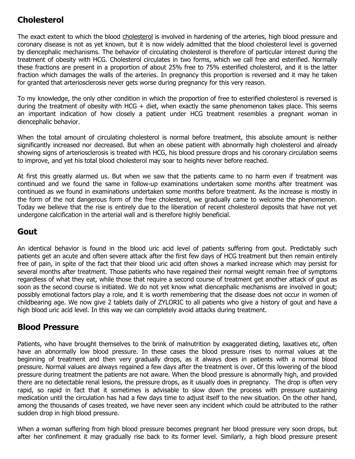# **Cholesterol**

The exact extent to which the blood [cholesterol](http://www.amazon.com/gp/product/0061031763?ie=UTF8&tag=insipuervall-20&link_code=em1&camp=212341&creative=380429&creativeASIN=0061031763&adid=ac1a8fe8-f701-48b0-86ed-8ba4ca9ac48b) is involved in hardening of the arteries, high blood pressure and coronary disease is not as yet known, but it is now widely admitted that the blood cholesterol level is governed by diencephalic mechanisms. The behavior of circulating cholesterol is therefore of particular interest during the treatment of obesity with HCG. Cholesterol circulates in two forms, which we call free and esterified. Normally these fractions are present in a proportion of about 25% free to 75% esterified cholesterol, and it is the latter fraction which damages the walls of the arteries. In pregnancy this proportion is reversed and it may he taken for granted that arteriosclerosis never gets worse during pregnancy for this very reason.

To my knowledge, the only other condition in which the proportion of free to esterified cholesterol is reversed is during the treatment of obesity with HCG  $+$  diet, when exactly the same phenomenon takes place. This seems an important indication of how closely a patient under HCG treatment resembles a pregnant woman in diencephalic behavior.

When the total amount of circulating cholesterol is normal before treatment, this absolute amount is neither significantly increased nor decreased. But when an obese patient with abnormally high cholesterol and already showing signs of arteriosclerosis is treated with HCG, his blood pressure drops and his coronary circulation seems to improve, and yet his total blood cholesterol may soar to heights never before reached.

At first this greatly alarmed us. But when we saw that the patients came to no harm even if treatment was continued and we found the same in follow-up examinations undertaken some months after treatment was continued as we found in examinations undertaken some months before treatment. As the increase is mostly in the form of the not dangerous form of the free cholesterol, we gradually came to welcome the phenomenon. Today we believe that the rise is entirely due to the liberation of recent cholesterol deposits that have not yet undergone calcification in the arterial wall and is therefore highly beneficial.

## **Gout**

An identical behavior is found in the blood uric acid level of patients suffering from gout. Predictably such patients get an acute and often severe attack after the first few days of HCG treatment but then remain entirely free of pain, in spite of the fact that their blood uric acid often shows a marked increase which may persist for several months after treatment. Those patients who have regained their normal weight remain free of symptoms regardless of what they eat, while those that require a second course of treatment get another attack of gout as soon as the second course is initiated. We do not yet know what diencephalic mechanisms are involved in gout; possibly emotional factors play a role, and it is worth remembering that the disease does not occur in women of childbearing age. We now give 2 tablets daily of ZYLORIC to all patients who give a history of gout and have a high blood uric acid level. In this way we can completely avoid attacks during treatment.

# **Blood Pressure**

Patients, who have brought themselves to the brink of malnutrition by exaggerated dieting, laxatives etc, often have an abnormally low blood pressure. In these cases the blood pressure rises to normal values at the beginning of treatment and then very gradually drops, as it always does in patients with a normal blood pressure. Normal values are always regained a few days after the treatment is over. Of this lowering of the blood pressure during treatment the patients are not aware. When the blood pressure is abnormally high, and provided there are no detectable renal lesions, the pressure drops, as it usually does in pregnancy. The drop is often very rapid, so rapid in fact that it sometimes is advisable to slow down the process with pressure sustaining medication until the circulation has had a few days time to adjust itself to the new situation. On the other hand, among the thousands of cases treated, we have never seen any incident which could be attributed to the rather sudden drop in high blood pressure.

When a woman suffering from high blood pressure becomes pregnant her blood pressure very soon drops, but after her confinement it may gradually rise back to its former level. Similarly, a high blood pressure present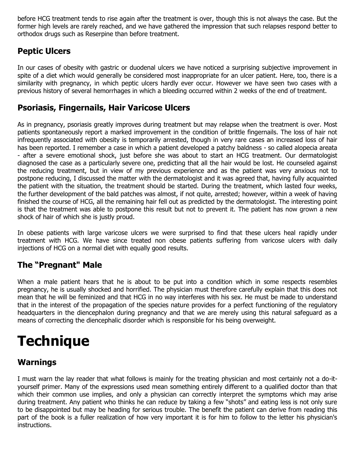before HCG treatment tends to rise again after the treatment is over, though this is not always the case. But the former high levels are rarely reached, and we have gathered the impression that such relapses respond better to orthodox drugs such as Reserpine than before treatment.

# **Peptic Ulcers**

In our cases of obesity with gastric or duodenal ulcers we have noticed a surprising subjective improvement in spite of a diet which would generally be considered most inappropriate for an ulcer patient. Here, too, there is a similarity with pregnancy, in which peptic ulcers hardly ever occur. However we have seen two cases with a previous history of several hemorrhages in which a bleeding occurred within 2 weeks of the end of treatment.

# **Psoriasis, Fingernails, Hair Varicose Ulcers**

As in pregnancy, psoriasis greatly improves during treatment but may relapse when the treatment is over. Most patients spontaneously report a marked improvement in the condition of brittle fingernails. The loss of hair not infrequently associated with obesity is temporarily arrested, though in very rare cases an increased loss of hair has been reported. I remember a case in which a patient developed a patchy baldness - so called alopecia areata - after a severe emotional shock, just before she was about to start an HCG treatment. Our dermatologist diagnosed the case as a particularly severe one, predicting that all the hair would be lost. He counseled against the reducing treatment, but in view of my previous experience and as the patient was very anxious not to postpone reducing, I discussed the matter with the dermatologist and it was agreed that, having fully acquainted the patient with the situation, the treatment should be started. During the treatment, which lasted four weeks, the further development of the bald patches was almost, if not quite, arrested; however, within a week of having finished the course of HCG, all the remaining hair fell out as predicted by the dermatologist. The interesting point is that the treatment was able to postpone this result but not to prevent it. The patient has now grown a new shock of hair of which she is justly proud.

In obese patients with large varicose ulcers we were surprised to find that these ulcers heal rapidly under treatment with HCG. We have since treated non obese patients suffering from varicose ulcers with daily injections of HCG on a normal diet with equally good results.

# **The "Pregnant" Male**

When a male patient hears that he is about to be put into a condition which in some respects resembles pregnancy, he is usually shocked and horrified. The physician must therefore carefully explain that this does not mean that he will be feminized and that HCG in no way interferes with his sex. He must be made to understand that in the interest of the propagation of the species nature provides for a perfect functioning of the regulatory headquarters in the diencephalon during pregnancy and that we are merely using this natural safeguard as a means of correcting the diencephalic disorder which is responsible for his being overweight.

# **Technique**

# **Warnings**

I must warn the lay reader that what follows is mainly for the treating physician and most certainly not a do-ityourself primer. Many of the expressions used mean something entirely different to a qualified doctor than that which their common use implies, and only a physician can correctly interpret the symptoms which may arise during treatment. Any patient who thinks he can reduce by taking a few "shots" and eating less is not only sure to be disappointed but may be heading for serious trouble. The benefit the patient can derive from reading this part of the book is a fuller realization of how very important it is for him to follow to the letter his physician's instructions.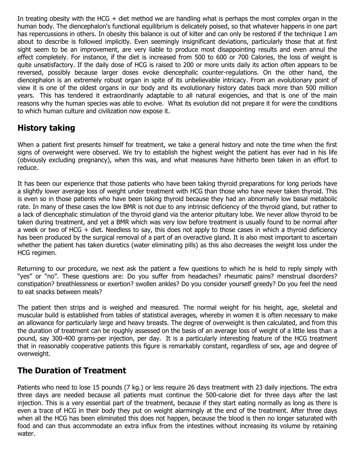In treating obesity with the HCG  $+$  diet method we are handling what is perhaps the most complex organ in the human body. The diencephalon's functional equilibrium is delicately poised, so that whatever happens in one part has repercussions in others. In obesity this balance is out of kilter and can only be restored if the technique I am about to describe is followed implicitly. Even seemingly insignificant deviations, particularly those that at first sight seem to be an improvement, are very liable to produce most disappointing results and even annul the effect completely. For instance, if the diet is increased from 500 to 600 or 700 Calories, the loss of weight is quite unsatisfactory. If the daily dose of HCG is raised to 200 or more units daily its action often appears to be reversed, possibly because larger doses evoke diencephalic counter-regulations. On the other hand, the diencephalon is an extremely robust organ in spite of its unbelievable intricacy. From an evolutionary point of view it is one of the oldest organs in our body and its evolutionary history dates back more than 500 million years. This has tendered it extraordinarily adaptable to all natural exigencies, and that is one of the main reasons why the human species was able to evolve. What its evolution did not prepare it for were the conditions to which human culture and civilization now expose it.

# **History taking**

When a patient first presents himself for treatment, we take a general history and note the time when the first signs of overweight were observed. We try to establish the highest weight the patient has ever had in his life (obviously excluding pregnancy), when this was, and what measures have hitherto been taken in an effort to reduce.

It has been our experience that those patients who have been taking thyroid preparations for long periods have a slightly lower average loss of weight under treatment with HCG than those who have never taken thyroid. This is even so in those patients who have been taking thyroid because they had an abnormally low basal metabolic rate. In many of these cases the low BMR is not due to any intrinsic deficiency of the thyroid gland, but rather to a lack of diencephalic stimulation of the thyroid gland via the anterior pituitary lobe. We never allow thyroid to be taken during treatment, and yet a BMR which was very low before treatment is usually found to be normal after a week or two of HCG + diet. Needless to say, this does not apply to those cases in which a thyroid deficiency has been produced by the surgical removal of a part of an overactive gland. It is also most important to ascertain whether the patient has taken diuretics (water eliminating pills) as this also decreases the weight loss under the HCG regimen.

Returning to our procedure, we next ask the patient a few questions to which he is held to reply simply with "yes" or "no". These questions are: Do you suffer from headaches? rheumatic pains? menstrual disorders? constipation? breathlessness or exertion? swollen ankles? Do you consider yourself greedy? Do you feel the need to eat snacks between meals?

The patient then strips and is weighed and measured. The normal weight for his height, age, skeletal and muscular build is established from tables of statistical averages, whereby in women it is often necessary to make an allowance for particularly large and heavy breasts. The degree of overweight is then calculated, and from this the duration of treatment can be roughly assessed on the basis of an average loss of weight of a little less than a pound, say 300-400 grams-per injection, per day. It is a particularly interesting feature of the HCG treatment that in reasonably cooperative patients this figure is remarkably constant, regardless of sex, age and degree of overweight.

# **The Duration of Treatment**

Patients who need to lose 15 pounds (7 kg.) or less require 26 days treatment with 23 daily injections. The extra three days are needed because all patients must continue the 500-calorie diet for three days after the last injection. This is a very essential part of the treatment, because if they start eating normally as long as there is even a trace of HCG in their body they put on weight alarmingly at the end of the treatment. After three days when all the HCG has been eliminated this does not happen, because the blood is then no longer saturated with food and can thus accommodate an extra influx from the intestines without increasing its volume by retaining water.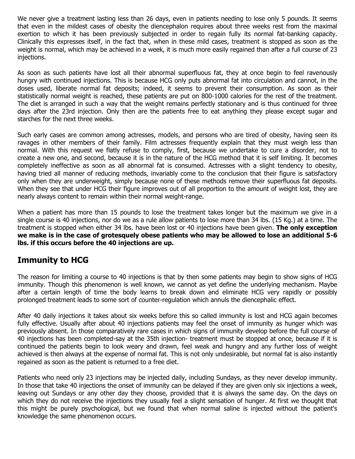We never give a treatment lasting less than 26 days, even in patients needing to lose only 5 pounds. It seems that even in the mildest cases of obesity the diencephalon requires about three weeks rest from the maximal exertion to which it has been previously subjected in order to regain fully its normal fat-banking capacity. Clinically this expresses itself, in the fact that, when in these mild cases, treatment is stopped as soon as the weight is normal, which may be achieved in a week, it is much more easily regained than after a full course of 23 injections.

As soon as such patients have lost all their abnormal superfluous fat, they at once begin to feel ravenously hungry with continued injections. This is because HCG only puts abnormal fat into circulation and cannot, in the doses used, liberate normal fat deposits; indeed, it seems to prevent their consumption. As soon as their statistically normal weight is reached, these patients are put on 800-1000 calories for the rest of the treatment. The diet is arranged in such a way that the weight remains perfectly stationary and is thus continued for three days after the 23rd injection. Only then are the patients free to eat anything they please except sugar and starches for the next three weeks.

Such early cases are common among actresses, models, and persons who are tired of obesity, having seen its ravages in other members of their family. Film actresses frequently explain that they must weigh less than normal. With this request we flatly refuse to comply, first, because we undertake to cure a disorder, not to create a new one, and second, because it is in the nature of the HCG method that it is self limiting. It becomes completely ineffective as soon as all abnormal fat is consumed. Actresses with a slight tendency to obesity, having tried all manner of reducing methods, invariably come to the conclusion that their figure is satisfactory only when they are underweight, simply because none of these methods remove their superfluous fat deposits. When they see that under HCG their figure improves out of all proportion to the amount of weight lost, they are nearly always content to remain within their normal weight-range.

When a patient has more than 15 pounds to lose the treatment takes longer but the maximum we give in a single course is 40 injections, nor do we as a rule allow patients to lose more than 34 lbs. (15 Kg.) at a time. The treatment is stopped when either 34 lbs. have been lost or 40 injections have been given. **The only exception we make is in the case of grotesquely obese patients who may be allowed to lose an additional 5-6 lbs. if this occurs before the 40 injections are up.**

# **Immunity to HCG**

The reason for limiting a course to 40 injections is that by then some patients may begin to show signs of HCG immunity. Though this phenomenon is well known, we cannot as yet define the underlying mechanism. Maybe after a certain length of time the body learns to break down and eliminate HCG very rapidly or possibly prolonged treatment leads to some sort of counter-regulation which annuls the diencephalic effect.

After 40 daily injections it takes about six weeks before this so called immunity is lost and HCG again becomes fully effective. Usually after about 40 injections patients may feel the onset of immunity as hunger which was previously absent. In those comparatively rare cases in which signs of immunity develop before the full course of 40 injections has been completed-say at the 35th injection- treatment must be stopped at once, because if it is continued the patients begin to look weary and drawn, feel weak and hungry and any further loss of weight achieved is then always at the expense of normal fat. This is not only undesirable, but normal fat is also instantly regained as soon as the patient is returned to a free diet.

Patients who need only 23 injections may be injected daily, including Sundays, as they never develop immunity. In those that take 40 injections the onset of immunity can be delayed if they are given only six injections a week, leaving out Sundays or any other day they choose, provided that it is always the same day. On the days on which they do not receive the injections they usually feel a slight sensation of hunger. At first we thought that this might be purely psychological, but we found that when normal saline is injected without the patient's knowledge the same phenomenon occurs.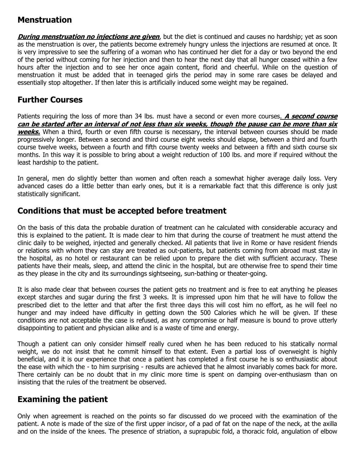# **Menstruation**

**During menstruation no injections are given**, but the diet is continued and causes no hardship; yet as soon as the menstruation is over, the patients become extremely hungry unless the injections are resumed at once. It is very impressive to see the suffering of a woman who has continued her diet for a day or two beyond the end of the period without coming for her injection and then to hear the next day that all hunger ceased within a few hours after the injection and to see her once again content, florid and cheerful. While on the question of menstruation it must be added that in teenaged girls the period may in some rare cases be delayed and essentially stop altogether. If then later this is artificially induced some weight may be regained.

# **Further Courses**

Patients requiring the loss of more than 34 lbs. must have a second or even more courses. **A second course can be started after an interval of not less than six weeks, though the pause can be more than six weeks.** When a third, fourth or even fifth course is necessary, the interval between courses should be made progressively longer. Between a second and third course eight weeks should elapse, between a third and fourth course twelve weeks, between a fourth and fifth course twenty weeks and between a fifth and sixth course six months. In this way it is possible to bring about a weight reduction of 100 lbs. and more if required without the least hardship to the patient.

In general, men do slightly better than women and often reach a somewhat higher average daily loss. Very advanced cases do a little better than early ones, but it is a remarkable fact that this difference is only just statistically significant.

# **Conditions that must be accepted before treatment**

On the basis of this data the probable duration of treatment can he calculated with considerable accuracy and this is explained to the patient. It is made clear to him that during the course of treatment he must attend the clinic daily to be weighed, injected and generally checked. All patients that live in Rome or have resident friends or relations with whom they can stay are treated as out-patients, but patients coming from abroad must stay in the hospital, as no hotel or restaurant can be relied upon to prepare the diet with sufficient accuracy. These patients have their meals, sleep, and attend the clinic in the hospital, but are otherwise free to spend their time as they please in the city and its surroundings sightseeing, sun-bathing or theater-going.

It is also made clear that between courses the patient gets no treatment and is free to eat anything he pleases except starches and sugar during the first 3 weeks. It is impressed upon him that he will have to follow the prescribed diet to the letter and that after the first three days this will cost him no effort, as he will feel no hunger and may indeed have difficulty in getting down the 500 Calories which he will be given. If these conditions are not acceptable the case is refused, as any compromise or half measure is bound to prove utterly disappointing to patient and physician alike and is a waste of time and energy.

Though a patient can only consider himself really cured when he has been reduced to his statically normal weight, we do not insist that he commit himself to that extent. Even a partial loss of overweight is highly beneficial, and it is our experience that once a patient has completed a first course he is so enthusiastic about the ease with which the - to him surprising - results are achieved that he almost invariably comes back for more. There certainly can be no doubt that in my clinic more time is spent on damping over-enthusiasm than on insisting that the rules of the treatment be observed.

# **Examining the patient**

Only when agreement is reached on the points so far discussed do we proceed with the examination of the patient. A note is made of the size of the first upper incisor, of a pad of fat on the nape of the neck, at the axilla and on the inside of the knees. The presence of striation, a suprapubic fold, a thoracic fold, angulation of elbow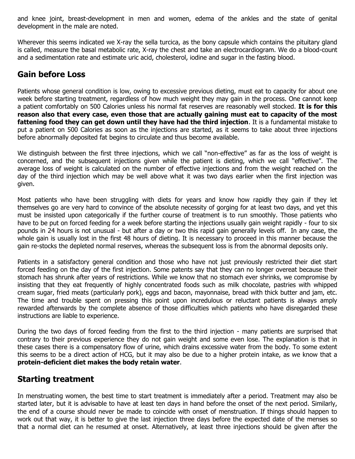and knee joint, breast-development in men and women, edema of the ankles and the state of genital development in the male are noted.

Wherever this seems indicated we X-ray the sella turcica, as the bony capsule which contains the pituitary gland is called, measure the basal metabolic rate, X-ray the chest and take an electrocardiogram. We do a blood-count and a sedimentation rate and estimate uric acid, cholesterol, iodine and sugar in the fasting blood.

# **Gain before Loss**

Patients whose general condition is low, owing to excessive previous dieting, must eat to capacity for about one week before starting treatment, regardless of how much weight they may gain in the process. One cannot keep a patient comfortably on 500 Calories unless his normal fat reserves are reasonably well stocked. **It is for this reason also that every case, even those that are actually gaining must eat to capacity of the most fattening food they can get down until they have had the third injection**. It is a fundamental mistake to put a patient on 500 Calories as soon as the injections are started, as it seems to take about three injections before abnormally deposited fat begins to circulate and thus become available.

We distinguish between the first three injections, which we call "non-effective" as far as the loss of weight is concerned, and the subsequent injections given while the patient is dieting, which we call "effective". The average loss of weight is calculated on the number of effective injections and from the weight reached on the day of the third injection which may be well above what it was two days earlier when the first injection was given.

Most patients who have been struggling with diets for years and know how rapidly they gain if they let themselves go are very hard to convince of the absolute necessity of gorging for at least two days, and yet this must be insisted upon categorically if the further course of treatment is to run smoothly. Those patients who have to be put on forced feeding for a week before starting the injections usually gain weight rapidly - four to six pounds in 24 hours is not unusual - but after a day or two this rapid gain generally levels off. In any case, the whole gain is usually lost in the first 48 hours of dieting. It is necessary to proceed in this manner because the gain re-stocks the depleted normal reserves, whereas the subsequent loss is from the abnormal deposits only.

Patients in a satisfactory general condition and those who have not just previously restricted their diet start forced feeding on the day of the first injection. Some patents say that they can no longer overeat because their stomach has shrunk after years of restrictions. While we know that no stomach ever shrinks, we compromise by insisting that they eat frequently of highly concentrated foods such as milk chocolate, pastries with whipped cream sugar, fried meats (particularly pork), eggs and bacon, mayonnaise, bread with thick butter and jam, etc. The time and trouble spent on pressing this point upon incredulous or reluctant patients is always amply rewarded afterwards by the complete absence of those difficulties which patients who have disregarded these instructions are liable to experience.

During the two days of forced feeding from the first to the third injection - many patients are surprised that contrary to their previous experience they do not gain weight and some even lose. The explanation is that in these cases there is a compensatory flow of urine, which drains excessive water from the body. To some extent this seems to be a direct action of HCG, but it may also be due to a higher protein intake, as we know that a **protein-deficient diet makes the body retain water**.

# **Starting treatment**

In menstruating women, the best time to start treatment is immediately after a period. Treatment may also be started later, but it is advisable to have at least ten days in hand before the onset of the next period. Similarly, the end of a course should never be made to coincide with onset of menstruation. If things should happen to work out that way, it is better to give the last injection three days before the expected date of the menses so that a normal diet can he resumed at onset. Alternatively, at least three injections should be given after the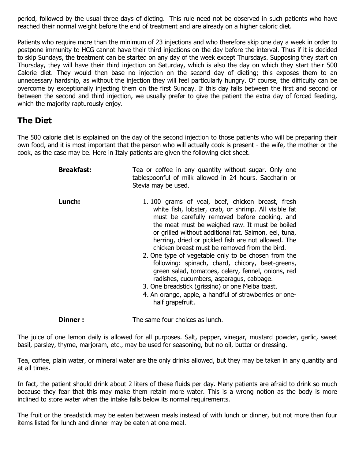period, followed by the usual three days of dieting. This rule need not be observed in such patients who have reached their normal weight before the end of treatment and are already on a higher caloric diet.

Patients who require more than the minimum of 23 injections and who therefore skip one day a week in order to postpone immunity to HCG cannot have their third injections on the day before the interval. Thus if it is decided to skip Sundays, the treatment can be started on any day of the week except Thursdays. Supposing they start on Thursday, they will have their third injection on Saturday, which is also the day on which they start their 500 Calorie diet. They would then base no injection on the second day of dieting; this exposes them to an unnecessary hardship, as without the injection they will feel particularly hungry. Of course, the difficulty can be overcome by exceptionally injecting them on the first Sunday. If this day falls between the first and second or between the second and third injection, we usually prefer to give the patient the extra day of forced feeding, which the majority rapturously enjoy.

# **The Diet**

The 500 calorie diet is explained on the day of the second injection to those patients who will be preparing their own food, and it is most important that the person who will actually cook is present - the wife, the mother or the cook, as the case may be. Here in Italy patients are given the following diet sheet.

| <b>Breakfast:</b> | Tea or coffee in any quantity without sugar. Only one<br>tablespoonful of milk allowed in 24 hours. Saccharin or<br>Stevia may be used.                                                                                                                                                                                                                                                                                                                                                                                                                                                                                                                                                                                       |
|-------------------|-------------------------------------------------------------------------------------------------------------------------------------------------------------------------------------------------------------------------------------------------------------------------------------------------------------------------------------------------------------------------------------------------------------------------------------------------------------------------------------------------------------------------------------------------------------------------------------------------------------------------------------------------------------------------------------------------------------------------------|
| Lunch:            | 1.100 grams of veal, beef, chicken breast, fresh<br>white fish, lobster, crab, or shrimp. All visible fat<br>must be carefully removed before cooking, and<br>the meat must be weighed raw. It must be boiled<br>or grilled without additional fat. Salmon, eel, tuna,<br>herring, dried or pickled fish are not allowed. The<br>chicken breast must be removed from the bird.<br>2. One type of vegetable only to be chosen from the<br>following: spinach, chard, chicory, beet-greens,<br>green salad, tomatoes, celery, fennel, onions, red<br>radishes, cucumbers, asparagus, cabbage.<br>3. One breadstick (grissino) or one Melba toast.<br>4. An orange, apple, a handful of strawberries or one-<br>half grapefruit. |

**Dinner :** The same four choices as lunch.

The juice of one lemon daily is allowed for all purposes. Salt, pepper, vinegar, mustard powder, garlic, sweet basil, parsley, thyme, marjoram, etc., may be used for seasoning, but no oil, butter or dressing.

Tea, coffee, plain water, or mineral water are the only drinks allowed, but they may be taken in any quantity and at all times.

In fact, the patient should drink about 2 liters of these fluids per day. Many patients are afraid to drink so much because they fear that this may make them retain more water. This is a wrong notion as the body is more inclined to store water when the intake falls below its normal requirements.

The fruit or the breadstick may be eaten between meals instead of with lunch or dinner, but not more than four items listed for lunch and dinner may be eaten at one meal.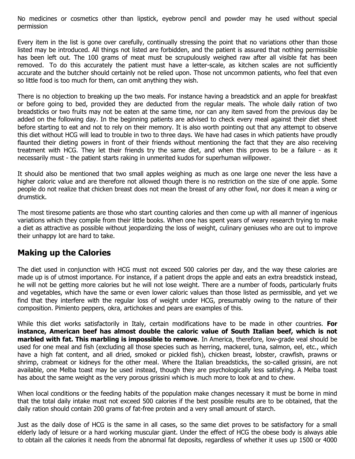No medicines or cosmetics other than lipstick, eyebrow pencil and powder may he used without special permission

Every item in the list is gone over carefully, continually stressing the point that no variations other than those listed may be introduced. All things not listed are forbidden, and the patient is assured that nothing permissible has been left out. The 100 grams of meat must be scrupulously weighed raw after all visible fat has been removed. To do this accurately the patient must have a letter-scale, as kitchen scales are not sufficiently accurate and the butcher should certainly not be relied upon. Those not uncommon patients, who feel that even so little food is too much for them, can omit anything they wish.

There is no objection to breaking up the two meals. For instance having a breadstick and an apple for breakfast or before going to bed, provided they are deducted from the regular meals. The whole daily ration of two breadsticks or two fruits may not be eaten at the same time, nor can any item saved from the previous day be added on the following day. In the beginning patients are advised to check every meal against their diet sheet before starting to eat and not to rely on their memory. It is also worth pointing out that any attempt to observe this diet without HCG will lead to trouble in two to three days. We have had cases in which patients have proudly flaunted their dieting powers in front of their friends without mentioning the fact that they are also receiving treatment with HCG. They let their friends try the same diet, and when this proves to be a failure - as it necessarily must - the patient starts raking in unmerited kudos for superhuman willpower.

It should also be mentioned that two small apples weighing as much as one large one never the less have a higher caloric value and are therefore not allowed though there is no restriction on the size of one apple. Some people do not realize that chicken breast does not mean the breast of any other fowl, nor does it mean a wing or drumstick.

The most tiresome patients are those who start counting calories and then come up with all manner of ingenious variations which they compile from their little books. When one has spent years of weary research trying to make a diet as attractive as possible without jeopardizing the loss of weight, culinary geniuses who are out to improve their unhappy lot are hard to take.

# **Making up the Calories**

The diet used in conjunction with HCG must not exceed 500 calories per day, and the way these calories are made up is of utmost importance. For instance, if a patient drops the apple and eats an extra breadstick instead, he will not be getting more calories but he will not lose weight. There are a number of foods, particularly fruits and vegetables, which have the same or even lower caloric values than those listed as permissible, and yet we find that they interfere with the regular loss of weight under HCG, presumably owing to the nature of their composition. Pimiento peppers, okra, artichokes and pears are examples of this.

While this diet works satisfactorily in Italy, certain modifications have to be made in other countries. **For instance, American beef has almost double the caloric value of South Italian beef, which is not marbled with fat. This marbling is impossible to remove**. In America, therefore, low-grade veal should be used for one meal and fish (excluding all those species such as herring, mackerel, tuna, salmon, eel, etc., which have a high fat content, and all dried, smoked or pickled fish), chicken breast, lobster, crawfish, prawns or shrimp, crabmeat or kidneys for the other meal. Where the Italian breadsticks, the so-called grissini, are not available, one Melba toast may be used instead, though they are psychologically less satisfying. A Melba toast has about the same weight as the very porous grissini which is much more to look at and to chew.

When local conditions or the feeding habits of the population make changes necessary it must be borne in mind that the total daily intake must not exceed 500 calories if the best possible results are to be obtained, that the daily ration should contain 200 grams of fat-free protein and a very small amount of starch.

Just as the daily dose of HCG is the same in all cases, so the same diet proves to be satisfactory for a small elderly lady of leisure or a hard working muscular giant. Under the effect of HCG the obese body is always able to obtain all the calories it needs from the abnormal fat deposits, regardless of whether it uses up 1500 or 4000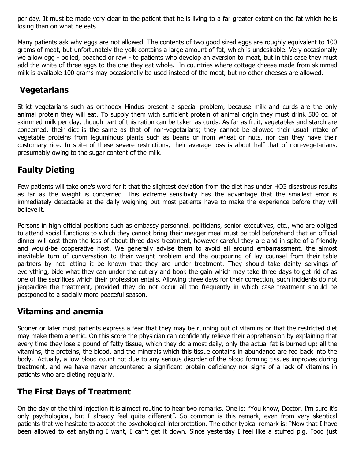per day. It must be made very clear to the patient that he is living to a far greater extent on the fat which he is losing than on what he eats.

Many patients ask why eggs are not allowed. The contents of two good sized eggs are roughly equivalent to 100 grams of meat, but unfortunately the yolk contains a large amount of fat, which is undesirable. Very occasionally we allow egg - boiled, poached or raw - to patients who develop an aversion to meat, but in this case they must add the white of three eggs to the one they eat whole. In countries where cottage cheese made from skimmed milk is available 100 grams may occasionally be used instead of the meat, but no other cheeses are allowed.

# **Vegetarians**

Strict vegetarians such as orthodox Hindus present a special problem, because milk and curds are the only animal protein they will eat. To supply them with sufficient protein of animal origin they must drink 500 cc. of skimmed milk per day, though part of this ration can be taken as curds. As far as fruit, vegetables and starch are concerned, their diet is the same as that of non-vegetarians; they cannot be allowed their usual intake of vegetable proteins from leguminous plants such as beans or from wheat or nuts, nor can they have their customary rice. In spite of these severe restrictions, their average loss is about half that of non-vegetarians, presumably owing to the sugar content of the milk.

# **Faulty Dieting**

Few patients will take one's word for it that the slightest deviation from the diet has under HCG disastrous results as far as the weight is concerned. This extreme sensitivity has the advantage that the smallest error is immediately detectable at the daily weighing but most patients have to make the experience before they will believe it.

Persons in high official positions such as embassy personnel, politicians, senior executives, etc., who are obliged to attend social functions to which they cannot bring their meager meal must be told beforehand that an official dinner will cost them the loss of about three days treatment, however careful they are and in spite of a friendly and would-be cooperative host. We generally advise them to avoid all around embarrassment, the almost inevitable turn of conversation to their weight problem and the outpouring of lay counsel from their table partners by not letting it be known that they are under treatment. They should take dainty servings of everything, bide what they can under the cutlery and book the gain which may take three days to get rid of as one of the sacrifices which their profession entails. Allowing three days for their correction, such incidents do not jeopardize the treatment, provided they do not occur all too frequently in which case treatment should be postponed to a socially more peaceful season.

# **Vitamins and anemia**

Sooner or later most patients express a fear that they may be running out of vitamins or that the restricted diet may make them anemic. On this score the physician can confidently relieve their apprehension by explaining that every time they lose a pound of fatty tissue, which they do almost daily, only the actual fat is burned up; all the vitamins, the proteins, the blood, and the minerals which this tissue contains in abundance are fed back into the body. Actually, a low blood count not due to any serious disorder of the blood forming tissues improves during treatment, and we have never encountered a significant protein deficiency nor signs of a lack of vitamins in patients who are dieting regularly.

# **The First Days of Treatment**

On the day of the third injection it is almost routine to hear two remarks. One is: "You know, Doctor, I'm sure it's only psychological, but I already feel quite different". So common is this remark, even from very skeptical patients that we hesitate to accept the psychological interpretation. The other typical remark is: "Now that I have been allowed to eat anything I want, I can't get it down. Since yesterday I feel like a stuffed pig. Food just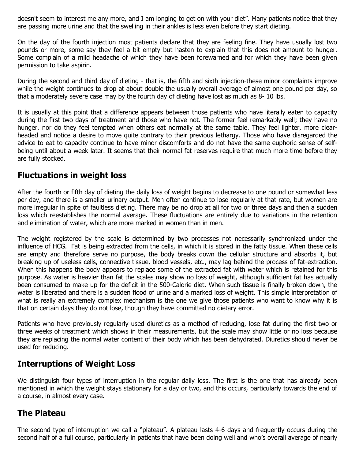doesn't seem to interest me any more, and I am longing to get on with your diet". Many patients notice that they are passing more urine and that the swelling in their ankles is less even before they start dieting.

On the day of the fourth injection most patients declare that they are feeling fine. They have usually lost two pounds or more, some say they feel a bit empty but hasten to explain that this does not amount to hunger. Some complain of a mild headache of which they have been forewarned and for which they have been given permission to take aspirin.

During the second and third day of dieting - that is, the fifth and sixth injection-these minor complaints improve while the weight continues to drop at about double the usually overall average of almost one pound per day, so that a moderately severe case may by the fourth day of dieting have lost as much as 8- 10 lbs.

It is usually at this point that a difference appears between those patients who have literally eaten to capacity during the first two days of treatment and those who have not. The former feel remarkably well; they have no hunger, nor do they feel tempted when others eat normally at the same table. They feel lighter, more clearheaded and notice a desire to move quite contrary to their previous lethargy. Those who have disregarded the advice to eat to capacity continue to have minor discomforts and do not have the same euphoric sense of selfbeing until about a week later. It seems that their normal fat reserves require that much more time before they are fully stocked.

# **Fluctuations in weight loss**

After the fourth or fifth day of dieting the daily loss of weight begins to decrease to one pound or somewhat less per day, and there is a smaller urinary output. Men often continue to lose regularly at that rate, but women are more irregular in spite of faultless dieting. There may be no drop at all for two or three days and then a sudden loss which reestablishes the normal average. These fluctuations are entirely due to variations in the retention and elimination of water, which are more marked in women than in men.

The weight registered by the scale is determined by two processes not necessarily synchronized under the influence of HCG. Fat is being extracted from the cells, in which it is stored in the fatty tissue. When these cells are empty and therefore serve no purpose, the body breaks down the cellular structure and absorbs it, but breaking up of useless cells, connective tissue, blood vessels, etc., may lag behind the process of fat-extraction. When this happens the body appears to replace some of the extracted fat with water which is retained for this purpose. As water is heavier than fat the scales may show no loss of weight, although sufficient fat has actually been consumed to make up for the deficit in the 500-Calorie diet. When such tissue is finally broken down, the water is liberated and there is a sudden flood of urine and a marked loss of weight. This simple interpretation of what is really an extremely complex mechanism is the one we give those patients who want to know why it is that on certain days they do not lose, though they have committed no dietary error.

Patients who have previously regularly used diuretics as a method of reducing, lose fat during the first two or three weeks of treatment which shows in their measurements, but the scale may show little or no loss because they are replacing the normal water content of their body which has been dehydrated. Diuretics should never be used for reducing.

# **Interruptions of Weight Loss**

We distinguish four types of interruption in the regular daily loss. The first is the one that has already been mentioned in which the weight stays stationary for a day or two, and this occurs, particularly towards the end of a course, in almost every case.

# **The Plateau**

The second type of interruption we call a "plateau". A plateau lasts 4-6 days and frequently occurs during the second half of a full course, particularly in patients that have been doing well and who's overall average of nearly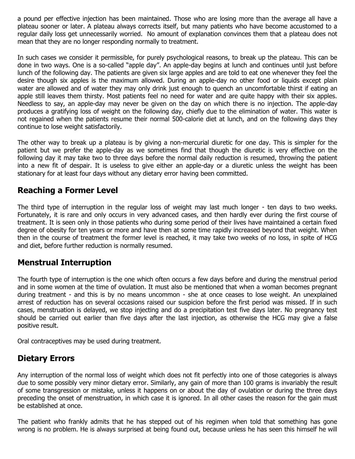a pound per effective injection has been maintained. Those who are losing more than the average all have a plateau sooner or later. A plateau always corrects itself, but many patients who have become accustomed to a regular daily loss get unnecessarily worried. No amount of explanation convinces them that a plateau does not mean that they are no longer responding normally to treatment.

In such cases we consider it permissible, for purely psychological reasons, to break up the plateau. This can be done in two ways. One is a so-called "apple day". An apple-day begins at lunch and continues until just before lunch of the following day. The patients are given six large apples and are told to eat one whenever they feel the desire though six apples is the maximum allowed. During an apple-day no other food or liquids except plain water are allowed and of water they may only drink just enough to quench an uncomfortable thirst if eating an apple still leaves them thirsty. Most patients feel no need for water and are quite happy with their six apples. Needless to say, an apple-day may never be given on the day on which there is no injection. The apple-day produces a gratifying loss of weight on the following day, chiefly due to the elimination of water. This water is not regained when the patients resume their normal 500-calorie diet at lunch, and on the following days they continue to lose weight satisfactorily.

The other way to break up a plateau is by giving a non-mercurial diuretic for one day. This is simpler for the patient but we prefer the apple-day as we sometimes find that though the diuretic is very effective on the following day it may take two to three days before the normal daily reduction is resumed, throwing the patient into a new fit of despair. It is useless to give either an apple-day or a diuretic unless the weight has been stationary for at least four days without any dietary error having been committed.

# **Reaching a Former Level**

The third type of interruption in the regular loss of weight may last much longer - ten days to two weeks. Fortunately, it is rare and only occurs in very advanced cases, and then hardly ever during the first course of treatment. It is seen only in those patients who during some period of their lives have maintained a certain fixed degree of obesity for ten years or more and have then at some time rapidly increased beyond that weight. When then in the course of treatment the former level is reached, it may take two weeks of no loss, in spite of HCG and diet, before further reduction is normally resumed.

# **Menstrual Interruption**

The fourth type of interruption is the one which often occurs a few days before and during the menstrual period and in some women at the time of ovulation. It must also be mentioned that when a woman becomes pregnant during treatment - and this is by no means uncommon - she at once ceases to lose weight. An unexplained arrest of reduction has on several occasions raised our suspicion before the first period was missed. If in such cases, menstruation is delayed, we stop injecting and do a precipitation test five days later. No pregnancy test should be carried out earlier than five days after the last injection, as otherwise the HCG may give a false positive result.

Oral contraceptives may be used during treatment.

# **Dietary Errors**

Any interruption of the normal loss of weight which does not fit perfectly into one of those categories is always due to some possibly very minor dietary error. Similarly, any gain of more than 100 grams is invariably the result of some transgression or mistake, unless it happens on or about the day of ovulation or during the three days preceding the onset of menstruation, in which case it is ignored. In all other cases the reason for the gain must be established at once.

The patient who frankly admits that he has stepped out of his regimen when told that something has gone wrong is no problem. He is always surprised at being found out, because unless he has seen this himself he will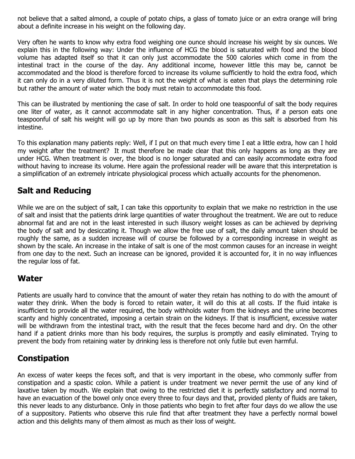not believe that a salted almond, a couple of potato chips, a glass of tomato juice or an extra orange will bring about a definite increase in his weight on the following day.

Very often he wants to know why extra food weighing one ounce should increase his weight by six ounces. We explain this in the following way: Under the influence of HCG the blood is saturated with food and the blood volume has adapted itself so that it can only just accommodate the 500 calories which come in from the intestinal tract in the course of the day. Any additional income, however little this may be, cannot be accommodated and the blood is therefore forced to increase its volume sufficiently to hold the extra food, which it can only do in a very diluted form. Thus it is not the weight of what is eaten that plays the determining role but rather the amount of water which the body must retain to accommodate this food.

This can be illustrated by mentioning the case of salt. In order to hold one teaspoonful of salt the body requires one liter of water, as it cannot accommodate salt in any higher concentration. Thus, if a person eats one teaspoonful of salt his weight will go up by more than two pounds as soon as this salt is absorbed from his intestine.

To this explanation many patients reply: Well, if I put on that much every time I eat a little extra, how can I hold my weight after the treatment? It must therefore be made clear that this only happens as long as they are under HCG. When treatment is over, the blood is no longer saturated and can easily accommodate extra food without having to increase its volume. Here again the professional reader will be aware that this interpretation is a simplification of an extremely intricate physiological process which actually accounts for the phenomenon.

# **Salt and Reducing**

While we are on the subject of salt, I can take this opportunity to explain that we make no restriction in the use of salt and insist that the patients drink large quantities of water throughout the treatment. We are out to reduce abnormal fat and are not in the least interested in such illusory weight losses as can be achieved by depriving the body of salt and by desiccating it. Though we allow the free use of salt, the daily amount taken should be roughly the same, as a sudden increase will of course be followed by a corresponding increase in weight as shown by the scale. An increase in the intake of salt is one of the most common causes for an increase in weight from one day to the next. Such an increase can be ignored, provided it is accounted for, it in no way influences the regular loss of fat.

#### **Water**

Patients are usually hard to convince that the amount of water they retain has nothing to do with the amount of water they drink. When the body is forced to retain water, it will do this at all costs. If the fluid intake is insufficient to provide all the water required, the body withholds water from the kidneys and the urine becomes scanty and highly concentrated, imposing a certain strain on the kidneys. If that is insufficient, excessive water will be withdrawn from the intestinal tract, with the result that the feces become hard and dry. On the other hand if a patient drinks more than his body requires, the surplus is promptly and easily eliminated. Trying to prevent the body from retaining water by drinking less is therefore not only futile but even harmful.

# **Constipation**

An excess of water keeps the feces soft, and that is very important in the obese, who commonly suffer from constipation and a spastic colon. While a patient is under treatment we never permit the use of any kind of laxative taken by mouth. We explain that owing to the restricted diet it is perfectly satisfactory and normal to have an evacuation of the bowel only once every three to four days and that, provided plenty of fluids are taken, this never leads to any disturbance. Only in those patients who begin to fret after four days do we allow the use of a suppository. Patients who observe this rule find that after treatment they have a perfectly normal bowel action and this delights many of them almost as much as their loss of weight.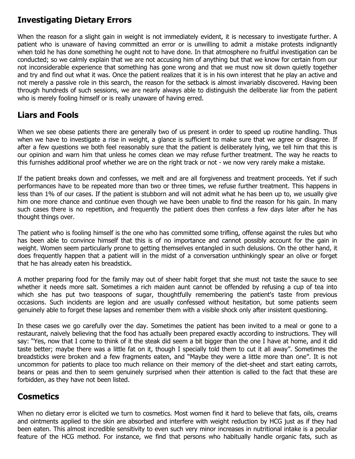# **Investigating Dietary Errors**

When the reason for a slight gain in weight is not immediately evident, it is necessary to investigate further. A patient who is unaware of having committed an error or is unwilling to admit a mistake protests indignantly when told he has done something he ought not to have done. In that atmosphere no fruitful investigation can be conducted; so we calmly explain that we are not accusing him of anything but that we know for certain from our not inconsiderable experience that something has gone wrong and that we must now sit down quietly together and try and find out what it was. Once the patient realizes that it is in his own interest that he play an active and not merely a passive role in this search, the reason for the setback is almost invariably discovered. Having been through hundreds of such sessions, we are nearly always able to distinguish the deliberate liar from the patient who is merely fooling himself or is really unaware of having erred.

# **Liars and Fools**

When we see obese patients there are generally two of us present in order to speed up routine handling. Thus when we have to investigate a rise in weight, a glance is sufficient to make sure that we agree or disagree. If after a few questions we both feel reasonably sure that the patient is deliberately lying, we tell him that this is our opinion and warn him that unless he comes clean we may refuse further treatment. The way he reacts to this furnishes additional proof whether we are on the right track or not - we now very rarely make a mistake.

If the patient breaks down and confesses, we melt and are all forgiveness and treatment proceeds. Yet if such performances have to be repeated more than two or three times, we refuse further treatment. This happens in less than 1% of our cases. If the patient is stubborn and will not admit what he has been up to, we usually give him one more chance and continue even though we have been unable to find the reason for his gain. In many such cases there is no repetition, and frequently the patient does then confess a few days later after he has thought things over.

The patient who is fooling himself is the one who has committed some trifling, offense against the rules but who has been able to convince himself that this is of no importance and cannot possibly account for the gain in weight. Women seem particularly prone to getting themselves entangled in such delusions. On the other hand, it does frequently happen that a patient will in the midst of a conversation unthinkingly spear an olive or forget that he has already eaten his breadstick.

A mother preparing food for the family may out of sheer habit forget that she must not taste the sauce to see whether it needs more salt. Sometimes a rich maiden aunt cannot be offended by refusing a cup of tea into which she has put two teaspoons of sugar, thoughtfully remembering the patient's taste from previous occasions. Such incidents are legion and are usually confessed without hesitation, but some patients seem genuinely able to forget these lapses and remember them with a visible shock only after insistent questioning.

In these cases we go carefully over the day. Sometimes the patient has been invited to a meal or gone to a restaurant, naively believing that the food has actually been prepared exactly according to instructions. They will say: "Yes, now that I come to think of it the steak did seem a bit bigger than the one I have at home, and it did taste better; maybe there was a little fat on it, though I specially told them to cut it all away". Sometimes the breadsticks were broken and a few fragments eaten, and "Maybe they were a little more than one". It is not uncommon for patients to place too much reliance on their memory of the diet-sheet and start eating carrots, beans or peas and then to seem genuinely surprised when their attention is called to the fact that these are forbidden, as they have not been listed.

# **Cosmetics**

When no dietary error is elicited we turn to cosmetics. Most women find it hard to believe that fats, oils, creams and ointments applied to the skin are absorbed and interfere with weight reduction by HCG just as if they had been eaten. This almost incredible sensitivity to even such very minor increases in nutritional intake is a peculiar feature of the HCG method. For instance, we find that persons who habitually handle organic fats, such as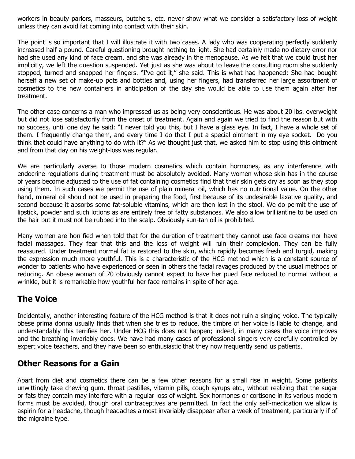workers in beauty parlors, masseurs, butchers, etc. never show what we consider a satisfactory loss of weight unless they can avoid fat coming into contact with their skin.

The point is so important that I will illustrate it with two cases. A lady who was cooperating perfectly suddenly increased half a pound. Careful questioning brought nothing to light. She had certainly made no dietary error nor had she used any kind of face cream, and she was already in the menopause. As we felt that we could trust her implicitly, we left the question suspended. Yet just as she was about to leave the consulting room she suddenly stopped, turned and snapped her fingers. "I've got it," she said. This is what had happened: She had bought herself a new set of make-up pots and bottles and, using her fingers, had transferred her large assortment of cosmetics to the new containers in anticipation of the day she would be able to use them again after her treatment.

The other case concerns a man who impressed us as being very conscientious. He was about 20 lbs. overweight but did not lose satisfactorily from the onset of treatment. Again and again we tried to find the reason but with no success, until one day he said: "I never told you this, but I have a glass eye. In fact, I have a whole set of them. I frequently change them, and every time I do that I put a special ointment in my eye socket. Do you think that could have anything to do with it?" As we thought just that, we asked him to stop using this ointment and from that day on his weight-loss was regular.

We are particularly averse to those modern cosmetics which contain hormones, as any interference with endocrine regulations during treatment must be absolutely avoided. Many women whose skin has in the course of years become adjusted to the use of fat containing cosmetics find that their skin gets dry as soon as they stop using them. In such cases we permit the use of plain mineral oil, which has no nutritional value. On the other hand, mineral oil should not be used in preparing the food, first because of its undesirable laxative quality, and second because it absorbs some fat-soluble vitamins, which are then lost in the stool. We do permit the use of lipstick, powder and such lotions as are entirely free of fatty substances. We also allow brilliantine to be used on the hair but it must not be rubbed into the scalp. Obviously sun-tan oil is prohibited.

Many women are horrified when told that for the duration of treatment they cannot use face creams nor have facial massages. They fear that this and the loss of weight will ruin their complexion. They can be fully reassured. Under treatment normal fat is restored to the skin, which rapidly becomes fresh and turgid, making the expression much more youthful. This is a characteristic of the HCG method which is a constant source of wonder to patients who have experienced or seen in others the facial ravages produced by the usual methods of reducing. An obese woman of 70 obviously cannot expect to have her pued face reduced to normal without a wrinkle, but it is remarkable how youthful her face remains in spite of her age.

# **The Voice**

Incidentally, another interesting feature of the HCG method is that it does not ruin a singing voice. The typically obese prima donna usually finds that when she tries to reduce, the timbre of her voice is liable to change, and understandably this terrifies her. Under HCG this does not happen; indeed, in many cases the voice improves and the breathing invariably does. We have had many cases of professional singers very carefully controlled by expert voice teachers, and they have been so enthusiastic that they now frequently send us patients.

# **Other Reasons for a Gain**

Apart from diet and cosmetics there can be a few other reasons for a small rise in weight. Some patients unwittingly take chewing gum, throat pastilles, vitamin pills, cough syrups etc., without realizing that the sugar or fats they contain may interfere with a regular loss of weight. Sex hormones or cortisone in its various modern forms must be avoided, though oral contraceptives are permitted. In fact the only self-medication we allow is aspirin for a headache, though headaches almost invariably disappear after a week of treatment, particularly if of the migraine type.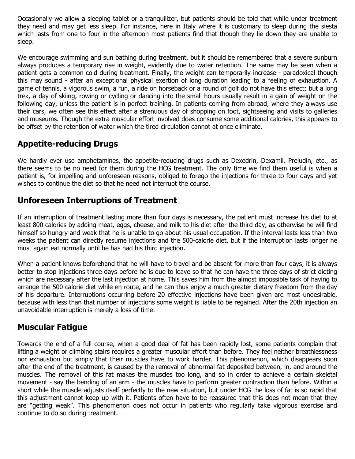Occasionally we allow a sleeping tablet or a tranquilizer, but patients should be told that while under treatment they need and may get less sleep. For instance, here in Italy where it is customary to sleep during the siesta which lasts from one to four in the afternoon most patients find that though they lie down they are unable to sleep.

We encourage swimming and sun bathing during treatment, but it should be remembered that a severe sunburn always produces a temporary rise in weight, evidently due to water retention. The same may be seen when a patient gets a common cold during treatment. Finally, the weight can temporarily increase - paradoxical though this may sound - after an exceptional physical exertion of long duration leading to a feeling of exhaustion. A game of tennis, a vigorous swim, a run, a ride on horseback or a round of golf do not have this effect; but a long trek, a day of skiing, rowing or cycling or dancing into the small hours usually result in a gain of weight on the following day, unless the patient is in perfect training. In patients coming from abroad, where they always use their cars, we often see this effect after a strenuous day of shopping on foot, sightseeing and visits to galleries and museums. Though the extra muscular effort involved does consume some additional calories, this appears to be offset by the retention of water which the tired circulation cannot at once eliminate.

# **Appetite-reducing Drugs**

We hardly ever use amphetamines, the appetite-reducing drugs such as Dexedrin, Dexamil, Preludin, etc., as there seems to be no need for them during the HCG treatment. The only time we find them useful is when a patient is, for impelling and unforeseen reasons, obliged to forego the injections for three to four days and yet wishes to continue the diet so that he need not interrupt the course.

# **Unforeseen Interruptions of Treatment**

If an interruption of treatment lasting more than four days is necessary, the patient must increase his diet to at least 800 calories by adding meat, eggs, cheese, and milk to his diet after the third day, as otherwise he will find himself so hungry and weak that he is unable to go about his usual occupation. If the interval lasts less than two weeks the patient can directly resume injections and the 500-calorie diet, but if the interruption lasts longer he must again eat normally until he has had his third injection.

When a patient knows beforehand that he will have to travel and be absent for more than four days, it is always better to stop injections three days before he is due to leave so that he can have the three days of strict dieting which are necessary after the last injection at home. This saves him from the almost impossible task of having to arrange the 500 calorie diet while en route, and he can thus enjoy a much greater dietary freedom from the day of his departure. Interruptions occurring before 20 effective injections have been given are most undesirable, because with less than that number of injections some weight is liable to be regained. After the 20th injection an unavoidable interruption is merely a loss of time.

# **Muscular Fatigue**

Towards the end of a full course, when a good deal of fat has been rapidly lost, some patients complain that lifting a weight or climbing stairs requires a greater muscular effort than before. They feel neither breathlessness nor exhaustion but simply that their muscles have to work harder. This phenomenon, which disappears soon after the end of the treatment, is caused by the removal of abnormal fat deposited between, in, and around the muscles. The removal of this fat makes the muscles too long, and so in order to achieve a certain skeletal movement - say the bending of an arm - the muscles have to perform greater contraction than before. Within a short while the muscle adjusts itself perfectly to the new situation, but under HCG the loss of fat is so rapid that this adjustment cannot keep up with it. Patients often have to be reassured that this does not mean that they are "getting weak". This phenomenon does not occur in patients who regularly take vigorous exercise and continue to do so during treatment.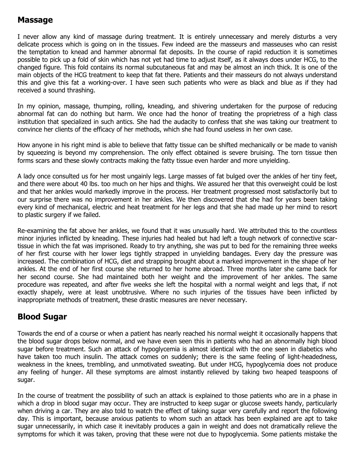# **Massage**

I never allow any kind of massage during treatment. It is entirely unnecessary and merely disturbs a very delicate process which is going on in the tissues. Few indeed are the masseurs and masseuses who can resist the temptation to knead and hammer abnormal fat deposits. In the course of rapid reduction it is sometimes possible to pick up a fold of skin which has not yet had time to adjust itself, as it always does under HCG, to the changed figure. This fold contains its normal subcutaneous fat and may be almost an inch thick. It is one of the main objects of the HCG treatment to keep that fat there. Patients and their masseurs do not always understand this and give this fat a working-over. I have seen such patients who were as black and blue as if they had received a sound thrashing.

In my opinion, massage, thumping, rolling, kneading, and shivering undertaken for the purpose of reducing abnormal fat can do nothing but harm. We once had the honor of treating the proprietress of a high class institution that specialized in such antics. She had the audacity to confess that she was taking our treatment to convince her clients of the efficacy of her methods, which she had found useless in her own case.

How anyone in his right mind is able to believe that fatty tissue can be shifted mechanically or be made to vanish by squeezing is beyond my comprehension. The only effect obtained is severe bruising. The torn tissue then forms scars and these slowly contracts making the fatty tissue even harder and more unyielding.

A lady once consulted us for her most ungainly legs. Large masses of fat bulged over the ankles of her tiny feet, and there were about 40 lbs. too much on her hips and thighs. We assured her that this overweight could be lost and that her ankles would markedly improve in the process. Her treatment progressed most satisfactorily but to our surprise there was no improvement in her ankles. We then discovered that she had for years been taking every kind of mechanical, electric and heat treatment for her legs and that she had made up her mind to resort to plastic surgery if we failed.

Re-examining the fat above her ankles, we found that it was unusually hard. We attributed this to the countless minor injuries inflicted by kneading. These injuries had healed but had left a tough network of connective scartissue in which the fat was imprisoned. Ready to try anything, she was put to bed for the remaining three weeks of her first course with her lower legs tightly strapped in unyielding bandages. Every day the pressure was increased. The combination of HCG, diet and strapping brought about a marked improvement in the shape of her ankles. At the end of her first course she returned to her home abroad. Three months later she came back for her second course. She had maintained both her weight and the improvement of her ankles. The same procedure was repeated, and after five weeks she left the hospital with a normal weight and legs that, if not exactly shapely, were at least unobtrusive. Where no such injuries of the tissues have been inflicted by inappropriate methods of treatment, these drastic measures are never necessary.

# **Blood Sugar**

Towards the end of a course or when a patient has nearly reached his normal weight it occasionally happens that the blood sugar drops below normal, and we have even seen this in patients who had an abnormally high blood sugar before treatment. Such an attack of hypoglycemia is almost identical with the one seen in diabetics who have taken too much insulin. The attack comes on suddenly; there is the same feeling of light-headedness, weakness in the knees, trembling, and unmotivated sweating. But under HCG, hypoglycemia does not produce any feeling of hunger. All these symptoms are almost instantly relieved by taking two heaped teaspoons of sugar.

In the course of treatment the possibility of such an attack is explained to those patients who are in a phase in which a drop in blood sugar may occur. They are instructed to keep sugar or glucose sweets handy, particularly when driving a car. They are also told to watch the effect of taking sugar very carefully and report the following day. This is important, because anxious patients to whom such an attack has been explained are apt to take sugar unnecessarily, in which case it inevitably produces a gain in weight and does not dramatically relieve the symptoms for which it was taken, proving that these were not due to hypoglycemia. Some patients mistake the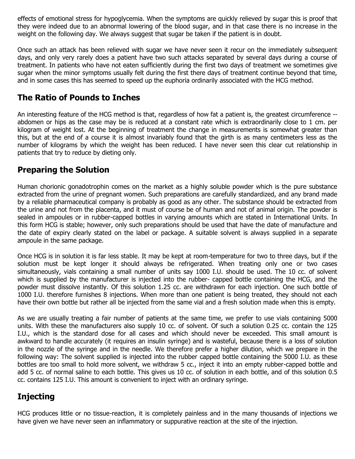effects of emotional stress for hypoglycemia. When the symptoms are quickly relieved by sugar this is proof that they were indeed due to an abnormal lowering of the blood sugar, and in that case there is no increase in the weight on the following day. We always suggest that sugar be taken if the patient is in doubt.

Once such an attack has been relieved with sugar we have never seen it recur on the immediately subsequent days, and only very rarely does a patient have two such attacks separated by several days during a course of treatment. In patients who have not eaten sufficiently during the first two days of treatment we sometimes give sugar when the minor symptoms usually felt during the first there days of treatment continue beyond that time, and in some cases this has seemed to speed up the euphoria ordinarily associated with the HCG method.

# **The Ratio of Pounds to Inches**

An interesting feature of the HCG method is that, regardless of how fat a patient is, the greatest circumference - abdomen or hips as the case may be is reduced at a constant rate which is extraordinarily close to 1 cm. per kilogram of weight lost. At the beginning of treatment the change in measurements is somewhat greater than this, but at the end of a course it is almost invariably found that the girth is as many centimeters less as the number of kilograms by which the weight has been reduced. I have never seen this clear cut relationship in patients that try to reduce by dieting only.

# **Preparing the Solution**

Human chorionic gonadotrophin comes on the market as a highly soluble powder which is the pure substance extracted from the urine of pregnant women. Such preparations are carefully standardized, and any brand made by a reliable pharmaceutical company is probably as good as any other. The substance should be extracted from the urine and not from the placenta, and it must of course be of human and not of animal origin. The powder is sealed in ampoules or in rubber-capped bottles in varying amounts which are stated in International Units. In this form HCG is stable; however, only such preparations should be used that have the date of manufacture and the date of expiry clearly stated on the label or package. A suitable solvent is always supplied in a separate ampoule in the same package.

Once HCG is in solution it is far less stable. It may be kept at room-temperature for two to three days, but if the solution must be kept longer it should always be refrigerated. When treating only one or two cases simultaneously, vials containing a small number of units say 1000 I.U. should be used. The 10 cc. of solvent which is supplied by the manufacturer is injected into the rubber- capped bottle containing the HCG, and the powder must dissolve instantly. Of this solution 1.25 cc. are withdrawn for each injection. One such bottle of 1000 I.U. therefore furnishes 8 injections. When more than one patient is being treated, they should not each have their own bottle but rather all be injected from the same vial and a fresh solution made when this is empty.

As we are usually treating a fair number of patients at the same time, we prefer to use vials containing 5000 units. With these the manufacturers also supply 10 cc. of solvent. Of such a solution 0.25 cc. contain the 125 I.U., which is the standard dose for all cases and which should never be exceeded. This small amount is awkward to handle accurately (it requires an insulin syringe) and is wasteful, because there is a loss of solution in the nozzle of the syringe and in the needle. We therefore prefer a higher dilution, which we prepare in the following way: The solvent supplied is injected into the rubber capped bottle containing the 5000 I.U. as these bottles are too small to hold more solvent, we withdraw 5 cc., inject it into an empty rubber-capped bottle and add 5 cc. of normal saline to each bottle. This gives us 10 cc. of solution in each bottle, and of this solution 0.5 cc. contains 125 I.U. This amount is convenient to inject with an ordinary syringe.

# **Injecting**

HCG produces little or no tissue-reaction, it is completely painless and in the many thousands of injections we have given we have never seen an inflammatory or suppurative reaction at the site of the injection.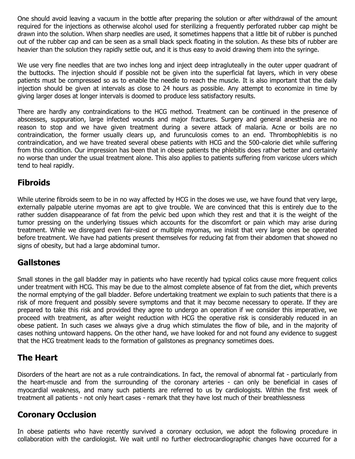One should avoid leaving a vacuum in the bottle after preparing the solution or after withdrawal of the amount required for the injections as otherwise alcohol used for sterilizing a frequently perforated rubber cap might be drawn into the solution. When sharp needles are used, it sometimes happens that a little bit of rubber is punched out of the rubber cap and can be seen as a small black speck floating in the solution. As these bits of rubber are heavier than the solution they rapidly settle out, and it is thus easy to avoid drawing them into the syringe.

We use very fine needles that are two inches long and inject deep intragluteally in the outer upper quadrant of the buttocks. The injection should if possible not be given into the superficial fat layers, which in very obese patients must be compressed so as to enable the needle to reach the muscle. It is also important that the daily injection should be given at intervals as close to 24 hours as possible. Any attempt to economize in time by giving larger doses at longer intervals is doomed to produce less satisfactory results.

There are hardly any contraindications to the HCG method. Treatment can be continued in the presence of abscesses, suppuration, large infected wounds and major fractures. Surgery and general anesthesia are no reason to stop and we have given treatment during a severe attack of malaria. Acne or boils are no contraindication, the former usually clears up, and furunculosis comes to an end. Thrombophlebitis is no contraindication, and we have treated several obese patients with HCG and the 500-calorie diet while suffering from this condition. Our impression has been that in obese patients the phlebitis does rather better and certainly no worse than under the usual treatment alone. This also applies to patients suffering from varicose ulcers which tend to heal rapidly.

# **Fibroids**

While uterine fibroids seem to be in no way affected by HCG in the doses we use, we have found that very large, externally palpable uterine myomas are apt to give trouble. We are convinced that this is entirely due to the rather sudden disappearance of fat from the pelvic bed upon which they rest and that it is the weight of the tumor pressing on the underlying tissues which accounts for the discomfort or pain which may arise during treatment. While we disregard even fair-sized or multiple myomas, we insist that very large ones be operated before treatment. We have had patients present themselves for reducing fat from their abdomen that showed no signs of obesity, but had a large abdominal tumor.

# **Gallstones**

Small stones in the gall bladder may in patients who have recently had typical colics cause more frequent colics under treatment with HCG. This may be due to the almost complete absence of fat from the diet, which prevents the normal emptying of the gall bladder. Before undertaking treatment we explain to such patients that there is a risk of more frequent and possibly severe symptoms and that it may become necessary to operate. If they are prepared to take this risk and provided they agree to undergo an operation if we consider this imperative, we proceed with treatment, as after weight reduction with HCG the operative risk is considerably reduced in an obese patient. In such cases we always give a drug which stimulates the flow of bile, and in the majority of cases nothing untoward happens. On the other hand, we have looked for and not found any evidence to suggest that the HCG treatment leads to the formation of gallstones as pregnancy sometimes does.

# **The Heart**

Disorders of the heart are not as a rule contraindications. In fact, the removal of abnormal fat - particularly from the heart-muscle and from the surrounding of the coronary arteries - can only be beneficial in cases of myocardial weakness, and many such patients are referred to us by cardiologists. Within the first week of treatment all patients - not only heart cases - remark that they have lost much of their breathlessness

# **Coronary Occlusion**

In obese patients who have recently survived a coronary occlusion, we adopt the following procedure in collaboration with the cardiologist. We wait until no further electrocardiographic changes have occurred for a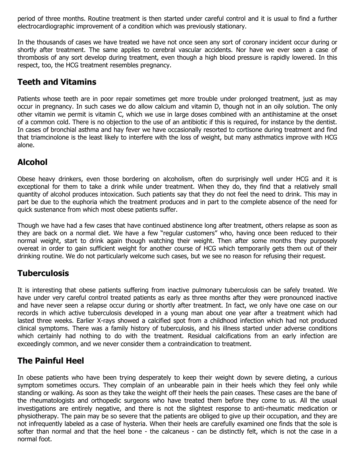period of three months. Routine treatment is then started under careful control and it is usual to find a further electrocardiographic improvement of a condition which was previously stationary.

In the thousands of cases we have treated we have not once seen any sort of coronary incident occur during or shortly after treatment. The same applies to cerebral vascular accidents. Nor have we ever seen a case of thrombosis of any sort develop during treatment, even though a high blood pressure is rapidly lowered. In this respect, too, the HCG treatment resembles pregnancy.

# **Teeth and Vitamins**

Patients whose teeth are in poor repair sometimes get more trouble under prolonged treatment, just as may occur in pregnancy. In such cases we do allow calcium and vitamin D, though not in an oily solution. The only other vitamin we permit is vitamin C, which we use in large doses combined with an antihistamine at the onset of a common cold. There is no objection to the use of an antibiotic if this is required, for instance by the dentist. In cases of bronchial asthma and hay fever we have occasionally resorted to cortisone during treatment and find that triamcinolone is the least likely to interfere with the loss of weight, but many asthmatics improve with HCG alone.

# **Alcohol**

Obese heavy drinkers, even those bordering on alcoholism, often do surprisingly well under HCG and it is exceptional for them to take a drink while under treatment. When they do, they find that a relatively small quantity of alcohol produces intoxication. Such patients say that they do not feel the need to drink. This may in part be due to the euphoria which the treatment produces and in part to the complete absence of the need for quick sustenance from which most obese patients suffer.

Though we have had a few cases that have continued abstinence long after treatment, others relapse as soon as they are back on a normal diet. We have a few "regular customers" who, having once been reduced to their normal weight, start to drink again though watching their weight. Then after some months they purposely overeat in order to gain sufficient weight for another course of HCG which temporarily gets them out of their drinking routine. We do not particularly welcome such cases, but we see no reason for refusing their request.

# **Tuberculosis**

It is interesting that obese patients suffering from inactive pulmonary tuberculosis can be safely treated. We have under very careful control treated patients as early as three months after they were pronounced inactive and have never seen a relapse occur during or shortly after treatment. In fact, we only have one case on our records in which active tuberculosis developed in a young man about one year after a treatment which had lasted three weeks. Earlier X-rays showed a calcified spot from a childhood infection which had not produced clinical symptoms. There was a family history of tuberculosis, and his illness started under adverse conditions which certainly had nothing to do with the treatment. Residual calcifications from an early infection are exceedingly common, and we never consider them a contraindication to treatment.

# **The Painful Heel**

In obese patients who have been trying desperately to keep their weight down by severe dieting, a curious symptom sometimes occurs. They complain of an unbearable pain in their heels which they feel only while standing or walking. As soon as they take the weight off their heels the pain ceases. These cases are the bane of the rheumatologists and orthopedic surgeons who have treated them before they come to us. All the usual investigations are entirely negative, and there is not the slightest response to anti-rheumatic medication or physiotherapy. The pain may be so severe that the patients are obliged to give up their occupation, and they are not infrequently labeled as a case of hysteria. When their heels are carefully examined one finds that the sole is softer than normal and that the heel bone - the calcaneus - can be distinctly felt, which is not the case in a normal foot.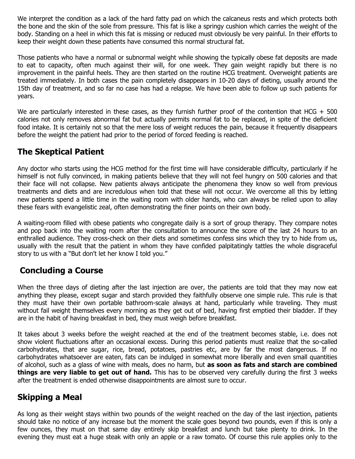We interpret the condition as a lack of the hard fatty pad on which the calcaneus rests and which protects both the bone and the skin of the sole from pressure. This fat is like a springy cushion which carries the weight of the body. Standing on a heel in which this fat is missing or reduced must obviously be very painful. In their efforts to keep their weight down these patients have consumed this normal structural fat.

Those patients who have a normal or subnormal weight while showing the typically obese fat deposits are made to eat to capacity, often much against their will, for one week. They gain weight rapidly but there is no improvement in the painful heels. They are then started on the routine HCG treatment. Overweight patients are treated immediately. In both cases the pain completely disappears in 10-20 days of dieting, usually around the 15th day of treatment, and so far no case has had a relapse. We have been able to follow up such patients for years.

We are particularly interested in these cases, as they furnish further proof of the contention that HCG  $+500$ calories not only removes abnormal fat but actually permits normal fat to be replaced, in spite of the deficient food intake. It is certainly not so that the mere loss of weight reduces the pain, because it frequently disappears before the weight the patient had prior to the period of forced feeding is reached.

# **The Skeptical Patient**

Any doctor who starts using the HCG method for the first time will have considerable difficulty, particularly if he himself is not fully convinced, in making patients believe that they will not feel hungry on 500 calories and that their face will not collapse. New patients always anticipate the phenomena they know so well from previous treatments and diets and are incredulous when told that these will not occur. We overcome all this by letting new patients spend a little time in the waiting room with older hands, who can always be relied upon to allay these fears with evangelistic zeal, often demonstrating the finer points on their own body.

A waiting-room filled with obese patients who congregate daily is a sort of group therapy. They compare notes and pop back into the waiting room after the consultation to announce the score of the last 24 hours to an enthralled audience. They cross-check on their diets and sometimes confess sins which they try to hide from us, usually with the result that the patient in whom they have confided palpitatingly tattles the whole disgraceful story to us with a "But don't let her know I told you."

# **Concluding a Course**

When the three days of dieting after the last injection are over, the patients are told that they may now eat anything they please, except sugar and starch provided they faithfully observe one simple rule. This rule is that they must have their own portable bathroom-scale always at hand, particularly while traveling. They must without fail weight themselves every morning as they get out of bed, having first emptied their bladder. If they are in the habit of having breakfast in bed, they must weigh before breakfast.

It takes about 3 weeks before the weight reached at the end of the treatment becomes stable, i.e. does not show violent fluctuations after an occasional excess. During this period patients must realize that the so-called carbohydrates, that are sugar, rice, bread, potatoes, pastries etc, are by far the most dangerous. If no carbohydrates whatsoever are eaten, fats can be indulged in somewhat more liberally and even small quantities of alcohol, such as a glass of wine with meals, does no harm, but **as soon as fats and starch are combined things are very liable to get out of hand.** This has to be observed very carefully during the first 3 weeks after the treatment is ended otherwise disappointments are almost sure to occur.

# **Skipping a Meal**

As long as their weight stays within two pounds of the weight reached on the day of the last injection, patients should take no notice of any increase but the moment the scale goes beyond two pounds, even if this is only a few ounces, they must on that same day entirely skip breakfast and lunch but take plenty to drink. In the evening they must eat a huge steak with only an apple or a raw tomato. Of course this rule applies only to the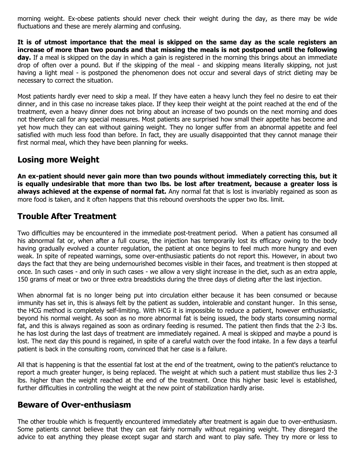morning weight. Ex-obese patients should never check their weight during the day, as there may be wide fluctuations and these are merely alarming and confusing.

**It is of utmost importance that the meal is skipped on the same day as the scale registers an increase of more than two pounds and that missing the meals is not postponed until the following day.** If a meal is skipped on the day in which a gain is registered in the morning this brings about an immediate drop of often over a pound. But if the skipping of the meal - and skipping means literally skipping, not just having a light meal - is postponed the phenomenon does not occur and several days of strict dieting may be necessary to correct the situation.

Most patients hardly ever need to skip a meal. If they have eaten a heavy lunch they feel no desire to eat their dinner, and in this case no increase takes place. If they keep their weight at the point reached at the end of the treatment, even a heavy dinner does not bring about an increase of two pounds on the next morning and does not therefore call for any special measures. Most patients are surprised how small their appetite has become and yet how much they can eat without gaining weight. They no longer suffer from an abnormal appetite and feel satisfied with much less food than before. In fact, they are usually disappointed that they cannot manage their first normal meal, which they have been planning for weeks.

# **Losing more Weight**

**An ex-patient should never gain more than two pounds without immediately correcting this, but it is equally undesirable that more than two lbs. be lost after treatment, because a greater loss is always achieved at the expense of normal fat.** Any normal fat that is lost is invariably regained as soon as more food is taken, and it often happens that this rebound overshoots the upper two lbs. limit.

# **Trouble After Treatment**

Two difficulties may be encountered in the immediate post-treatment period. When a patient has consumed all his abnormal fat or, when after a full course, the injection has temporarily lost its efficacy owing to the body having gradually evolved a counter regulation, the patient at once begins to feel much more hungry and even weak. In spite of repeated warnings, some over-enthusiastic patients do not report this. However, in about two days the fact that they are being undernourished becomes visible in their faces, and treatment is then stopped at once. In such cases - and only in such cases - we allow a very slight increase in the diet, such as an extra apple, 150 grams of meat or two or three extra breadsticks during the three days of dieting after the last injection.

When abnormal fat is no longer being put into circulation either because it has been consumed or because immunity has set in, this is always felt by the patient as sudden, intolerable and constant hunger. In this sense, the HCG method is completely self-limiting. With HCG it is impossible to reduce a patient, however enthusiastic, beyond his normal weight. As soon as no more abnormal fat is being issued, the body starts consuming normal fat, and this is always regained as soon as ordinary feeding is resumed. The patient then finds that the 2-3 lbs. he has lost during the last days of treatment are immediately regained. A meal is skipped and maybe a pound is lost. The next day this pound is regained, in spite of a careful watch over the food intake. In a few days a tearful patient is back in the consulting room, convinced that her case is a failure.

All that is happening is that the essential fat lost at the end of the treatment, owing to the patient's reluctance to report a much greater hunger, is being replaced. The weight at which such a patient must stabilize thus lies 2-3 lbs. higher than the weight reached at the end of the treatment. Once this higher basic level is established, further difficulties in controlling the weight at the new point of stabilization hardly arise.

#### **Beware of Over-enthusiasm**

The other trouble which is frequently encountered immediately after treatment is again due to over-enthusiasm. Some patients cannot believe that they can eat fairly normally without regaining weight. They disregard the advice to eat anything they please except sugar and starch and want to play safe. They try more or less to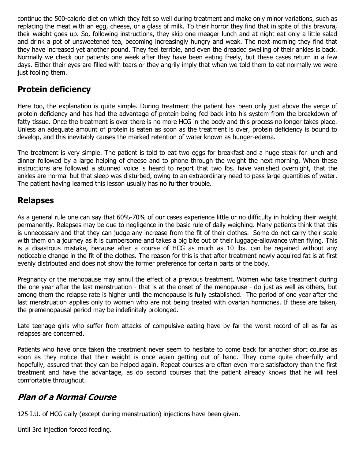continue the 500-calorie diet on which they felt so well during treatment and make only minor variations, such as replacing the meat with an egg, cheese, or a glass of milk. To their horror they find that in spite of this bravura, their weight goes up. So, following instructions, they skip one meager lunch and at night eat only a little salad and drink a pot of unsweetened tea, becoming increasingly hungry and weak. The next morning they find that they have increased yet another pound. They feel terrible, and even the dreaded swelling of their ankles is back. Normally we check our patients one week after they have been eating freely, but these cases return in a few days. Either their eyes are filled with tears or they angrily imply that when we told them to eat normally we were just fooling them.

# **Protein deficiency**

Here too, the explanation is quite simple. During treatment the patient has been only just above the verge of protein deficiency and has had the advantage of protein being fed back into his system from the breakdown of fatty tissue. Once the treatment is over there is no more HCG in the body and this process no longer takes place. Unless an adequate amount of protein is eaten as soon as the treatment is over, protein deficiency is bound to develop, and this inevitably causes the marked retention of water known as hunger-edema.

The treatment is very simple. The patient is told to eat two eggs for breakfast and a huge steak for lunch and dinner followed by a large helping of cheese and to phone through the weight the next morning. When these instructions are followed a stunned voice is heard to report that two lbs. have vanished overnight, that the ankles are normal but that sleep was disturbed, owing to an extraordinary need to pass large quantities of water. The patient having learned this lesson usually has no further trouble.

# **Relapses**

As a general rule one can say that 60%-70% of our cases experience little or no difficulty in holding their weight permanently. Relapses may be due to negligence in the basic rule of daily weighing. Many patients think that this is unnecessary and that they can judge any increase from the fit of their clothes. Some do not carry their scale with them on a journey as it is cumbersome and takes a big bite out of their luggage-allowance when flying. This is a disastrous mistake, because after a course of HCG as much as 10 lbs. can be regained without any noticeable change in the fit of the clothes. The reason for this is that after treatment newly acquired fat is at first evenly distributed and does not show the former preference for certain parts of the body.

Pregnancy or the menopause may annul the effect of a previous treatment. Women who take treatment during the one year after the last menstruation - that is at the onset of the menopause - do just as well as others, but among them the relapse rate is higher until the menopause is fully established. The period of one year after the last menstruation applies only to women who are not being treated with ovarian hormones. If these are taken, the premenopausal period may be indefinitely prolonged.

Late teenage girls who suffer from attacks of compulsive eating have by far the worst record of all as far as relapses are concerned.

Patients who have once taken the treatment never seem to hesitate to come back for another short course as soon as they notice that their weight is once again getting out of hand. They come quite cheerfully and hopefully, assured that they can be helped again. Repeat courses are often even more satisfactory than the first treatment and have the advantage, as do second courses that the patient already knows that he will feel comfortable throughout.

# **Plan of a Normal Course**

125 I.U. of HCG daily (except during menstruation) injections have been given.

Until 3rd injection forced feeding.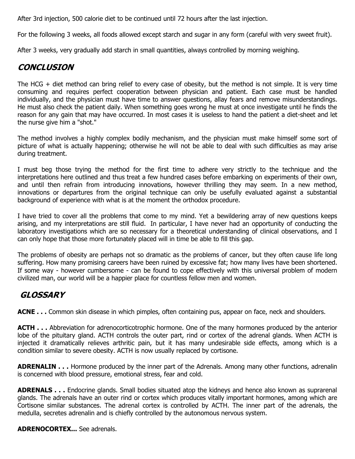After 3rd injection, 500 calorie diet to be continued until 72 hours after the last injection.

For the following 3 weeks, all foods allowed except starch and sugar in any form (careful with very sweet fruit).

After 3 weeks, very gradually add starch in small quantities, always controlled by morning weighing.

# **CONCLUSION**

The HCG + diet method can bring relief to every case of obesity, but the method is not simple. It is very time consuming and requires perfect cooperation between physician and patient. Each case must be handled individually, and the physician must have time to answer questions, allay fears and remove misunderstandings. He must also check the patient daily. When something goes wrong he must at once investigate until he finds the reason for any gain that may have occurred. In most cases it is useless to hand the patient a diet-sheet and let the nurse give him a "shot."

The method involves a highly complex bodily mechanism, and the physician must make himself some sort of picture of what is actually happening; otherwise he will not be able to deal with such difficulties as may arise during treatment.

I must beg those trying the method for the first time to adhere very strictly to the technique and the interpretations here outlined and thus treat a few hundred cases before embarking on experiments of their own, and until then refrain from introducing innovations, however thrilling they may seem. In a new method, innovations or departures from the original technique can only be usefully evaluated against a substantial background of experience with what is at the moment the orthodox procedure.

I have tried to cover all the problems that come to my mind. Yet a bewildering array of new questions keeps arising, and my interpretations are still fluid. In particular, I have never had an opportunity of conducting the laboratory investigations which are so necessary for a theoretical understanding of clinical observations, and I can only hope that those more fortunately placed will in time be able to fill this gap.

The problems of obesity are perhaps not so dramatic as the problems of cancer, but they often cause life long suffering. How many promising careers have been ruined by excessive fat; how many lives have been shortened. If some way - however cumbersome - can be found to cope effectively with this universal problem of modern civilized man, our world will be a happier place for countless fellow men and women.

# **GLOSSARY**

**ACNE . . .** Common skin disease in which pimples, often containing pus, appear on face, neck and shoulders.

**ACTH . . .** Abbreviation for adrenocorticotrophic hormone. One of the many hormones produced by the anterior lobe of the pituitary gland. ACTH controls the outer part, rind or cortex of the adrenal glands. When ACTH is injected it dramatically relieves arthritic pain, but it has many undesirable side effects, among which is a condition similar to severe obesity. ACTH is now usually replaced by cortisone.

**ADRENALIN . . .** Hormone produced by the inner part of the Adrenals. Among many other functions, adrenalin is concerned with blood pressure, emotional stress, fear and cold.

**ADRENALS . . .** Endocrine glands. Small bodies situated atop the kidneys and hence also known as suprarenal glands. The adrenals have an outer rind or cortex which produces vitally important hormones, among which are Cortisone similar substances. The adrenal cortex is controlled by ACTH. The inner part of the adrenals, the medulla, secretes adrenalin and is chiefly controlled by the autonomous nervous system.

**ADRENOCORTEX...** See adrenals.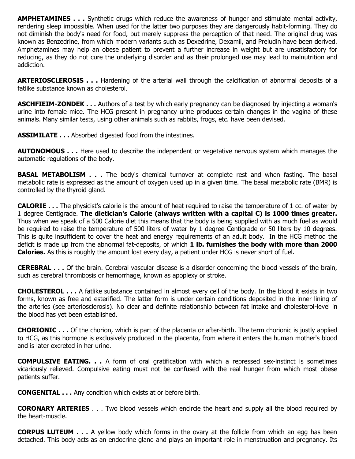**AMPHETAMINES . . .** Synthetic drugs which reduce the awareness of hunger and stimulate mental activity, rendering sleep impossible. When used for the latter two purposes they are dangerously habit-forming. They do not diminish the body's need for food, but merely suppress the perception of that need. The original drug was known as Benzedrine, from which modern variants such as Dexedrine, Dexamil, and Preludin have been derived. Amphetamines may help an obese patient to prevent a further increase in weight but are unsatisfactory for reducing, as they do not cure the underlying disorder and as their prolonged use may lead to malnutrition and addiction.

**ARTERIOSCLEROSIS . . .** Hardening of the arterial wall through the calcification of abnormal deposits of a fatlike substance known as cholesterol.

**ASCHFIEIM-ZONDEK . . .** Authors of a test by which early pregnancy can be diagnosed by injecting a woman's urine into female mice. The HCG present in pregnancy urine produces certain changes in the vagina of these animals. Many similar tests, using other animals such as rabbits, frogs, etc. have been devised.

**ASSIMILATE . . .** Absorbed digested food from the intestines.

**AUTONOMOUS . . .** Here used to describe the independent or vegetative nervous system which manages the automatic regulations of the body.

**BASAL METABOLISM . . .** The body's chemical turnover at complete rest and when fasting. The basal metabolic rate is expressed as the amount of oxygen used up in a given time. The basal metabolic rate (BMR) is controlled by the thyroid gland.

**CALORIE . . .** The physicist's calorie is the amount of heat required to raise the temperature of 1 cc. of water by 1 degree Centigrade. **The dietician's Calorie (always written with a capital C) is 1000 times greater.** Thus when we speak of a 500 Calorie diet this means that the body is being supplied with as much fuel as would be required to raise the temperature of 500 liters of water by 1 degree Centigrade or 50 liters by 10 degrees. This is quite insufficient to cover the heat and energy requirements of an adult body. In the HCG method the deficit is made up from the abnormal fat-deposits, of which **1 lb. furnishes the body with more than 2000 Calories.** As this is roughly the amount lost every day, a patient under HCG is never short of fuel.

**CEREBRAL . . .** Of the brain. Cerebral vascular disease is a disorder concerning the blood vessels of the brain, such as cerebral thrombosis or hemorrhage, known as apoplexy or stroke.

**CHOLESTEROL . . .** A fatlike substance contained in almost every cell of the body. In the blood it exists in two forms, known as free and esterified. The latter form is under certain conditions deposited in the inner lining of the arteries (see arteriosclerosis). No clear and definite relationship between fat intake and cholesterol-level in the blood has yet been established.

**CHORIONIC . . .** Of the chorion, which is part of the placenta or after-birth. The term chorionic is justly applied to HCG, as this hormone is exclusively produced in the placenta, from where it enters the human mother's blood and is later excreted in her urine.

**COMPULSIVE EATING. . .** A form of oral gratification with which a repressed sex-instinct is sometimes vicariously relieved. Compulsive eating must not be confused with the real hunger from which most obese patients suffer.

**CONGENITAL . . .** Any condition which exists at or before birth.

**CORONARY ARTERIES** . . . Two blood vessels which encircle the heart and supply all the blood required by the heart-muscle.

**CORPUS LUTEUM . . .** A yellow body which forms in the ovary at the follicle from which an egg has been detached. This body acts as an endocrine gland and plays an important role in menstruation and pregnancy. Its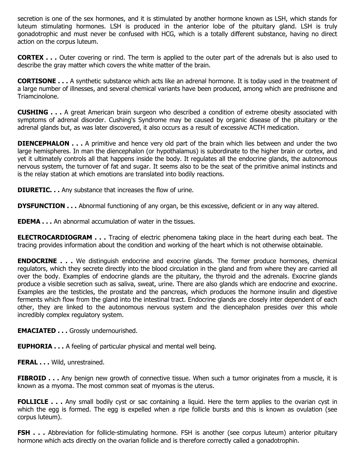secretion is one of the sex hormones, and it is stimulated by another hormone known as LSH, which stands for luteum stimulating hormones. LSH is produced in the anterior lobe of the pituitary gland. LSH is truly gonadotrophic and must never be confused with HCG, which is a totally different substance, having no direct action on the corpus luteum.

**CORTEX . . .** Outer covering or rind. The term is applied to the outer part of the adrenals but is also used to describe the gray matter which covers the white matter of the brain.

**CORTISONE . . .** A synthetic substance which acts like an adrenal hormone. It is today used in the treatment of a large number of illnesses, and several chemical variants have been produced, among which are prednisone and Triamcinolone.

**CUSHING . . .** A great American brain surgeon who described a condition of extreme obesity associated with symptoms of adrenal disorder. Cushing's Syndrome may be caused by organic disease of the pituitary or the adrenal glands but, as was later discovered, it also occurs as a result of excessive ACTH medication.

**DIENCEPHALON . . .** A primitive and hence very old part of the brain which lies between and under the two large hemispheres. In man the diencephalon (or hypothalamus) is subordinate to the higher brain or cortex, and yet it ultimately controls all that happens inside the body. It regulates all the endocrine glands, the autonomous nervous system, the turnover of fat and sugar. It seems also to be the seat of the primitive animal instincts and is the relay station at which emotions are translated into bodily reactions.

**DIURETIC...** Any substance that increases the flow of urine.

**DYSFUNCTION ...** Abnormal functioning of any organ, be this excessive, deficient or in any way altered.

**EDEMA . . .** An abnormal accumulation of water in the tissues.

**ELECTROCARDIOGRAM . . .** Tracing of electric phenomena taking place in the heart during each beat. The tracing provides information about the condition and working of the heart which is not otherwise obtainable.

**ENDOCRINE ...** We distinguish endocrine and exocrine glands. The former produce hormones, chemical regulators, which they secrete directly into the blood circulation in the gland and from where they are carried all over the body. Examples of endocrine glands are the pituitary, the thyroid and the adrenals. Exocrine glands produce a visible secretion such as saliva, sweat, urine. There are also glands which are endocrine and exocrine. Examples are the testicles, the prostate and the pancreas, which produces the hormone insulin and digestive ferments which flow from the gland into the intestinal tract. Endocrine glands are closely inter dependent of each other, they are linked to the autonomous nervous system and the diencephalon presides over this whole incredibly complex regulatory system.

**EMACIATED . . .** Grossly undernourished.

**EUPHORIA . . .** A feeling of particular physical and mental well being.

**FERAL . . .** Wild, unrestrained.

**FIBROID** . . . Any benign new growth of connective tissue. When such a tumor originates from a muscle, it is known as a myoma. The most common seat of myomas is the uterus.

**FOLLICLE ...** Any small bodily cyst or sac containing a liquid. Here the term applies to the ovarian cyst in which the egg is formed. The egg is expelled when a ripe follicle bursts and this is known as ovulation (see corpus luteum).

**FSH ...** Abbreviation for follicle-stimulating hormone. FSH is another (see corpus luteum) anterior pituitary hormone which acts directly on the ovarian follicle and is therefore correctly called a gonadotrophin.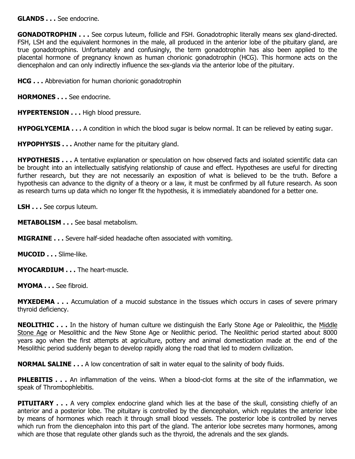#### **GLANDS . . .** See endocrine.

**GONADOTROPHIN . . .** See corpus luteum, follicle and FSH. Gonadotrophic literally means sex gland-directed. FSH, LSH and the equivalent hormones in the male, all produced in the anterior lobe of the pituitary gland, are true gonadotrophins. Unfortunately and confusingly, the term gonadotrophin has also been applied to the placental hormone of pregnancy known as human chorionic gonadotrophin (HCG). This hormone acts on the diencephalon and can only indirectly influence the sex-glands via the anterior lobe of the pituitary.

**HCG . . .** Abbreviation for human chorionic gonadotrophin

**HORMONES . . .** See endocrine.

**HYPERTENSION . . .** High blood pressure.

**HYPOGLYCEMIA . . .** A condition in which the blood sugar is below normal. It can be relieved by eating sugar.

**HYPOPHYSIS . . .** Another name for the pituitary gland.

**HYPOTHESIS . . .** A tentative explanation or speculation on how observed facts and isolated scientific data can be brought into an intellectually satisfying relationship of cause and effect. Hypotheses are useful for directing further research, but they are not necessarily an exposition of what is believed to be the truth. Before a hypothesis can advance to the dignity of a theory or a law, it must be confirmed by all future research. As soon as research turns up data which no longer fit the hypothesis, it is immediately abandoned for a better one.

**LSH . . .** See corpus luteum.

**METABOLISM . . .** See basal metabolism.

**MIGRAINE . . .** Severe half-sided headache often associated with vomiting.

**MUCOID . . .** Slime-like.

**MYOCARDIUM . . .** The heart-muscle.

**MYOMA . . .** See fibroid.

**MYXEDEMA ...** Accumulation of a mucoid substance in the tissues which occurs in cases of severe primary thyroid deficiency.

**NEOLITHIC . . .** In the history of human culture we distinguish the Early Stone Age or Paleolithic, the [Middle](http://www.amazon.com/gp/product/0387246584?ie=UTF8&tag=insipuervall-20&link_code=em1&camp=212341&creative=380429&creativeASIN=0387246584&adid=22987a72-d125-4f5a-8ee8-280a42dfa99b)  [Stone Age](http://www.amazon.com/gp/product/0387246584?ie=UTF8&tag=insipuervall-20&link_code=em1&camp=212341&creative=380429&creativeASIN=0387246584&adid=22987a72-d125-4f5a-8ee8-280a42dfa99b) or Mesolithic and the New Stone Age or Neolithic period. The Neolithic period started about 8000 years ago when the first attempts at agriculture, pottery and animal domestication made at the end of the Mesolithic period suddenly began to develop rapidly along the road that led to modern civilization.

**NORMAL SALINE . . .** A low concentration of salt in water equal to the salinity of body fluids.

**PHLEBITIS ...** An inflammation of the veins. When a blood-clot forms at the site of the inflammation, we speak of Thrombophlebitis.

**PITUITARY ...** A very complex endocrine gland which lies at the base of the skull, consisting chiefly of an anterior and a posterior lobe. The pituitary is controlled by the diencephalon, which regulates the anterior lobe by means of hormones which reach it through small blood vessels. The posterior lobe is controlled by nerves which run from the diencephalon into this part of the gland. The anterior lobe secretes many hormones, among which are those that regulate other glands such as the thyroid, the adrenals and the sex glands.